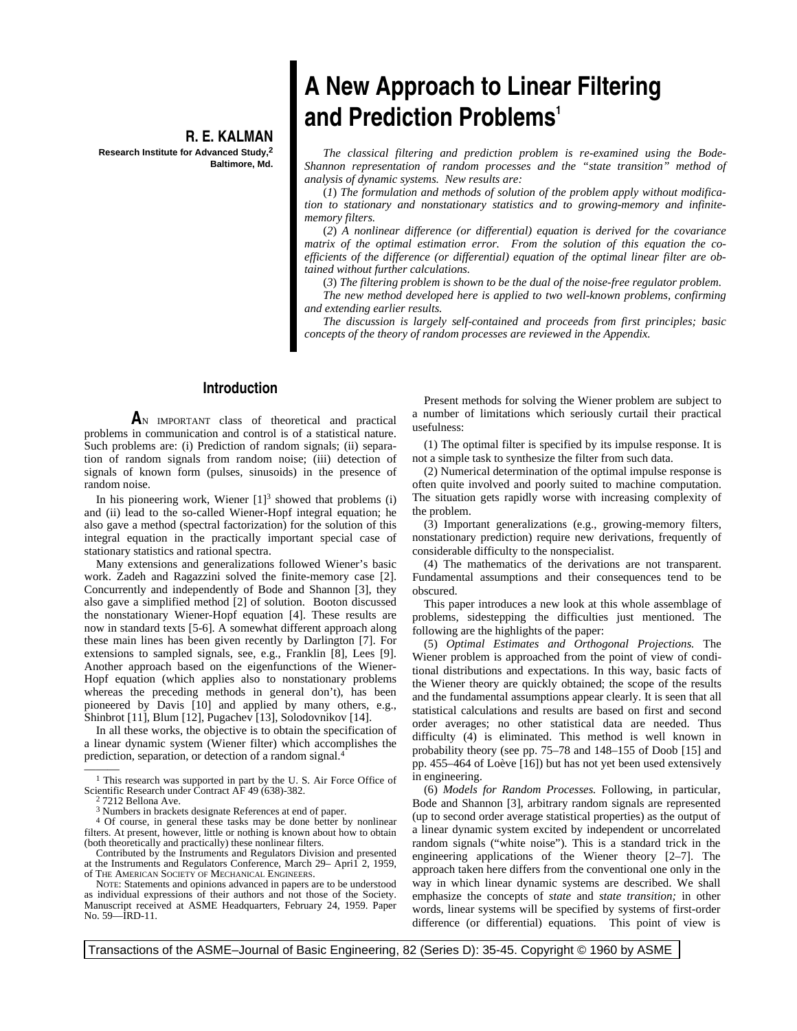**R. E. KALMAN** 

**Research Institute for Advanced Study,2 Baltimore, Md.**

# **A New Approach to Linear Filtering and Prediction Problems<sup>1</sup>**

*The classical filtering and prediction problem is re-examined using the Bode-Shannon representation of random processes and the "state transition" method of analysis of dynamic systems. New results are:* 

(*1*) *The formulation and methods of solution of the problem apply without modification to stationary and nonstationary statistics and to growing-memory and infinitememory filters.* 

(*2*) *A nonlinear difference (or differential) equation is derived for the covariance matrix of the optimal estimation error. From the solution of this equation the coefficients of the difference (or differential) equation of the optimal linear filter are obtained without further calculations.* 

(*3*) *The filtering problem is shown to be the dual of the noise-free regulator problem. The new method developed here is applied to two well-known problems, confirming and extending earlier results.* 

*The discussion is largely self-contained and proceeds from first principles; basic concepts of the theory of random processes are reviewed in the Appendix.* 

## **Introduction**

**A**N IMPORTANT class of theoretical and practical problems in communication and control is of a statistical nature. Such problems are: (i) Prediction of random signals; (ii) separation of random signals from random noise; (iii) detection of signals of known form (pulses, sinusoids) in the presence of random noise.

In his pioneering work, Wiener  $[1]^3$  showed that problems (i) and (ii) lead to the so-called Wiener-Hopf integral equation; he also gave a method (spectral factorization) for the solution of this integral equation in the practically important special case of stationary statistics and rational spectra.

Many extensions and generalizations followed Wiener's basic work. Zadeh and Ragazzini solved the finite-memory case [2]. Concurrently and independently of Bode and Shannon [3], they also gave a simplified method [2] of solution. Booton discussed the nonstationary Wiener-Hopf equation [4]. These results are now in standard texts [5-6]. A somewhat different approach along these main lines has been given recently by Darlington [7]. For extensions to sampled signals, see, e.g., Franklin [8], Lees [9]. Another approach based on the eigenfunctions of the Wiener-Hopf equation (which applies also to nonstationary problems whereas the preceding methods in general don't), has been pioneered by Davis [10] and applied by many others, e.g., Shinbrot [11], Blum [12], Pugachev [13], Solodovnikov [14].

In all these works, the objective is to obtain the specification of a linear dynamic system (Wiener filter) which accomplishes the prediction, separation, or detection of a random signal.4

Present methods for solving the Wiener problem are subject to a number of limitations which seriously curtail their practical usefulness:

(1) The optimal filter is specified by its impulse response. It is not a simple task to synthesize the filter from such data.

(2) Numerical determination of the optimal impulse response is often quite involved and poorly suited to machine computation. The situation gets rapidly worse with increasing complexity of the problem.

(3) Important generalizations (e.g., growing-memory filters, nonstationary prediction) require new derivations, frequently of considerable difficulty to the nonspecialist.

(4) The mathematics of the derivations are not transparent. Fundamental assumptions and their consequences tend to be obscured.

This paper introduces a new look at this whole assemblage of problems, sidestepping the difficulties just mentioned. The following are the highlights of the paper:

(5) *Optimal Estimates and Orthogonal Projections.* The Wiener problem is approached from the point of view of conditional distributions and expectations. In this way, basic facts of the Wiener theory are quickly obtained; the scope of the results and the fundamental assumptions appear clearly. It is seen that all statistical calculations and results are based on first and second order averages; no other statistical data are needed. Thus difficulty (4) is eliminated. This method is well known in probability theory (see pp. 75–78 and 148–155 of Doob [15] and pp. 455–464 of Loève [16]) but has not yet been used extensively in engineering.

(6) *Models for Random Processes.* Following, in particular, Bode and Shannon [3], arbitrary random signals are represented (up to second order average statistical properties) as the output of a linear dynamic system excited by independent or uncorrelated random signals ("white noise"). This is a standard trick in the engineering applications of the Wiener theory [2–7]. The approach taken here differs from the conventional one only in the way in which linear dynamic systems are described. We shall emphasize the concepts of *state* and *state transition;* in other words, linear systems will be specified by systems of first-order difference (or differential) equations. This point of view is

<sup>&</sup>lt;sup>1</sup> This research was supported in part by the U. S. Air Force Office of Scientific Research under Contract AF 49 (638)-382. 2 7212 Bellona Ave.

<sup>3</sup> Numbers in brackets designate References at end of paper.

<sup>4</sup> Of course, in general these tasks may be done better by nonlinear filters. At present, however, little or nothing is known about how to obtain (both theoretically and practically) these nonlinear filters.

Contributed by the Instruments and Regulators Division and presented at the Instruments and Regulators Conference, March 29– Apri1 2, 1959, of THE AMERICAN SOCIETY OF MECHANICAL ENGINEERS.

NOTE: Statements and opinions advanced in papers are to be understood as individual expressions of their authors and not those of the Society. Manuscript received at ASME Headquarters, February 24, 1959. Paper No. 59—IRD-11.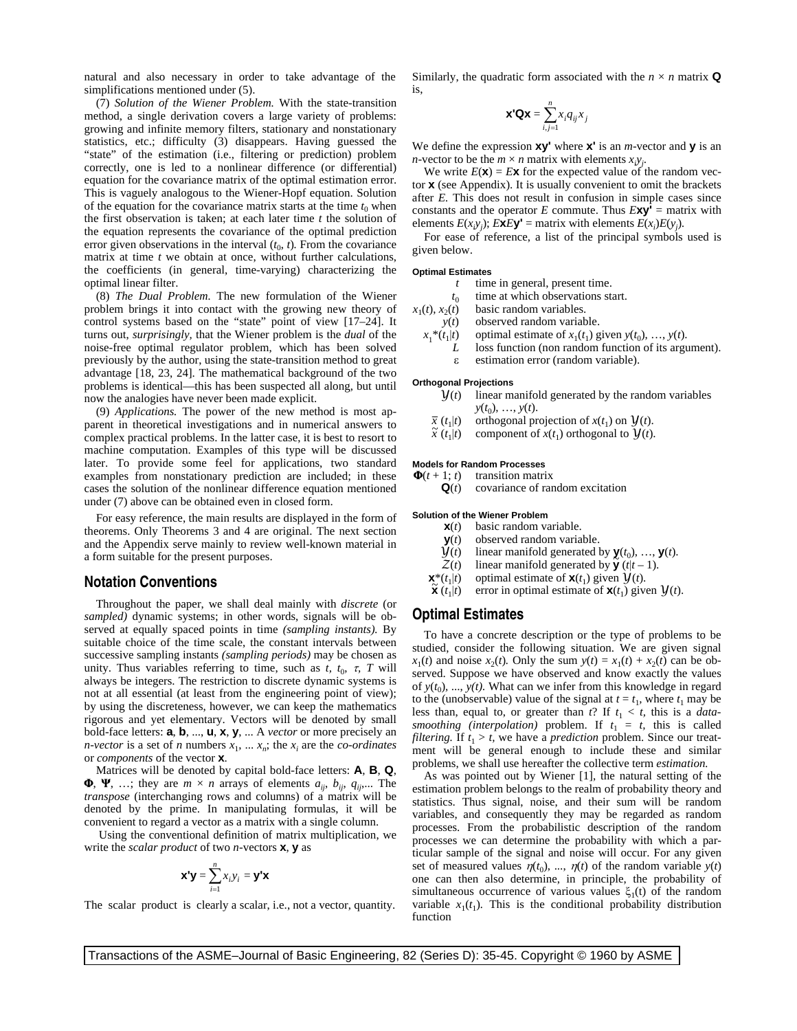natural and also necessary in order to take advantage of the simplifications mentioned under (5).

(7) *Solution of the Wiener Problem.* With the state-transition method, a single derivation covers a large variety of problems: growing and infinite memory filters, stationary and nonstationary statistics, etc.; difficulty (3) disappears. Having guessed the "state" of the estimation (i.e., filtering or prediction) problem correctly, one is led to a nonlinear difference (or differential) equation for the covariance matrix of the optimal estimation error. This is vaguely analogous to the Wiener-Hopf equation. Solution of the equation for the covariance matrix starts at the time  $t_0$  when the first observation is taken; at each later time *t* the solution of the equation represents the covariance of the optimal prediction error given observations in the interval  $(t_0, t)$ . From the covariance matrix at time *t* we obtain at once, without further calculations, the coefficients (in general, time-varying) characterizing the optimal linear filter.

(8) *The Dual Problem.* The new formulation of the Wiener problem brings it into contact with the growing new theory of control systems based on the "state" point of view [17–24]. It turns out, *surprisingly,* that the Wiener problem is the *dual* of the noise-free optimal regulator problem, which has been solved previously by the author, using the state-transition method to great advantage [18, 23, 24]. The mathematical background of the two problems is identical—this has been suspected all along, but until now the analogies have never been made explicit.

(9) *Applications.* The power of the new method is most apparent in theoretical investigations and in numerical answers to complex practical problems. In the latter case, it is best to resort to machine computation. Examples of this type will be discussed later. To provide some feel for applications, two standard examples from nonstationary prediction are included; in these cases the solution of the nonlinear difference equation mentioned under (7) above can be obtained even in closed form.

For easy reference, the main results are displayed in the form of theorems. Only Theorems 3 and 4 are original. The next section and the Appendix serve mainly to review well-known material in a form suitable for the present purposes.

## **Notation Conventions**

Throughout the paper, we shall deal mainly with *discrete* (or *sampled)* dynamic systems; in other words, signals will be observed at equally spaced points in time *(sampling instants).* By suitable choice of the time scale, the constant intervals between successive sampling instants *(sampling periods)* may be chosen as unity. Thus variables referring to time, such as  $t$ ,  $t_0$ ,  $\tau$ ,  $T$  will always be integers. The restriction to discrete dynamic systems is not at all essential (at least from the engineering point of view); by using the discreteness, however, we can keep the mathematics rigorous and yet elementary. Vectors will be denoted by small bold-face letters: **a**, **b**, ..., **u**, **x**, **y**, ... A *vector* or more precisely an *n-vector* is a set of *n* numbers  $x_1$ , ...  $x_n$ ; the  $x_i$  are the *co-ordinates* or *components* of the vector **x**.

Matrices will be denoted by capital bold-face letters: **A**, **B**, **Q**, **Φ**, **Ψ**, ...; they are  $m \times n$  arrays of elements  $a_{ij}$ ,  $b_{ij}$ ,  $q_{ij}$ ,... The *transpose* (interchanging rows and columns) of a matrix will be denoted by the prime. In manipulating formulas, it will be convenient to regard a vector as a matrix with a single column.

 Using the conventional definition of matrix multiplication, we write the *scalar product* of two *n*-vectors **x**, **y** as

$$
\mathbf{X}^{\mathbf{t}}\mathbf{y} = \sum_{i=1}^{n} x_i y_i = \mathbf{y}^{\mathbf{t}}\mathbf{x}
$$

The scalar product is clearly a scalar, i.e., not a vector, quantity.

Similarly, the quadratic form associated with the  $n \times n$  matrix **Q** is,

$$
\mathbf{X}^{\mathsf{T}}\mathbf{Q}\mathbf{X} = \sum_{i,j=1}^{n} x_i q_{ij} x_j
$$

We define the expression  $xy'$  where  $x'$  is an *m*-vector and  $y$  is an *n*-vector to be the  $m \times n$  matrix with elements  $x_i y_j$ .

We write  $E(\mathbf{x}) = E\mathbf{x}$  for the expected value of the random vector **x** (see Appendix). It is usually convenient to omit the brackets after *E.* This does not result in confusion in simple cases since constants and the operator  $E$  commute. Thus  $Exy' =$  matrix with elements  $E(x_i y_j)$ ;  $E \times E \mathbf{y}^{\mathsf{T}} =$  matrix with elements  $E(x_i)E(y_j)$ .

For ease of reference, a list of the principal symbols used is given below.

#### **Optimal Estimates**

- *t* time in general, present time.
- $t_0$  time at which observations start.<br> $x_1(t), x_2(t)$  basic random variables.
	- $b$ asic random variables.
	- *y*(*t*) observed random variable.
	- $x_1^*(t_1|t)$  optimal estimate of  $x_1(t_1)$  given  $y(t_0), \ldots, y(t)$ .<br>*L* loss function (non random function of its argu
		- loss function (non random function of its argument).
		- ε estimation error (random variable).

#### **Orthogonal Projections**

- $Y(t)$  linear manifold generated by the random variables *y*(*t*0), …, *y*(*t*).
- $\bar{x}$  (*t*<sub>1</sub>|*t*) orthogonal projection of *x*(*t*<sub>1</sub>) on  $\bar{y}$ (*t*).
- $\tilde{x}(t_1|t)$ component of  $x(t_1)$  orthogonal to  $\mathcal{Y}(t)$ .

#### **Models for Random Processes**

- $\Phi(t+1; t)$  transition matrix
	- **Q**(*t*) covariance of random excitation

## **Solution of the Wiener Problem**

- **x**(*t*) basic random variable.
- **y**(*t*) observed random variable.
- $\mathbf{y}(t)$  linear manifold generated by  $\mathbf{y}(t_0), \ldots, \mathbf{y}(t)$ .
- $Z(t)$  linear manifold generated by  $\ddot{y}(t|t-1)$ .
- $\mathbf{x}^*(t_1|t)$  optimal estimate of  $\mathbf{x}(t_1)$  given  $\mathbf{y}(t)$ .
- $\tilde{\mathbf{x}}(t_1|t)$ error in optimal estimate of  $\mathbf{x}(t_1)$  given  $\mathbf{y}(t)$ .

## **Optimal Estimates**

To have a concrete description or the type of problems to be studied, consider the following situation. We are given signal  $x_1(t)$  and noise  $x_2(t)$ . Only the sum  $y(t) = x_1(t) + x_2(t)$  can be observed. Suppose we have observed and know exactly the values of  $y(t_0)$ , ...,  $y(t)$ . What can we infer from this knowledge in regard to the (unobservable) value of the signal at  $t = t_1$ , where  $t_1$  may be less than, equal to, or greater than  $t$ ? If  $t_1 < t$ , this is a *datasmoothing (interpolation)* problem. If  $t_1 = t$ , this is called *filtering.* If  $t_1 > t$ , we have a *prediction* problem. Since our treatment will be general enough to include these and similar problems, we shall use hereafter the collective term *estimation.* 

As was pointed out by Wiener [1], the natural setting of the estimation problem belongs to the realm of probability theory and statistics. Thus signal, noise, and their sum will be random variables, and consequently they may be regarded as random processes. From the probabilistic description of the random processes we can determine the probability with which a particular sample of the signal and noise will occur. For any given set of measured values  $\eta(t_0)$ , ...,  $\eta(t)$  of the random variable  $y(t)$ one can then also determine, in principle, the probability of simultaneous occurrence of various values  $\xi_1(t)$  of the random variable  $x_1(t_1)$ . This is the conditional probability distribution function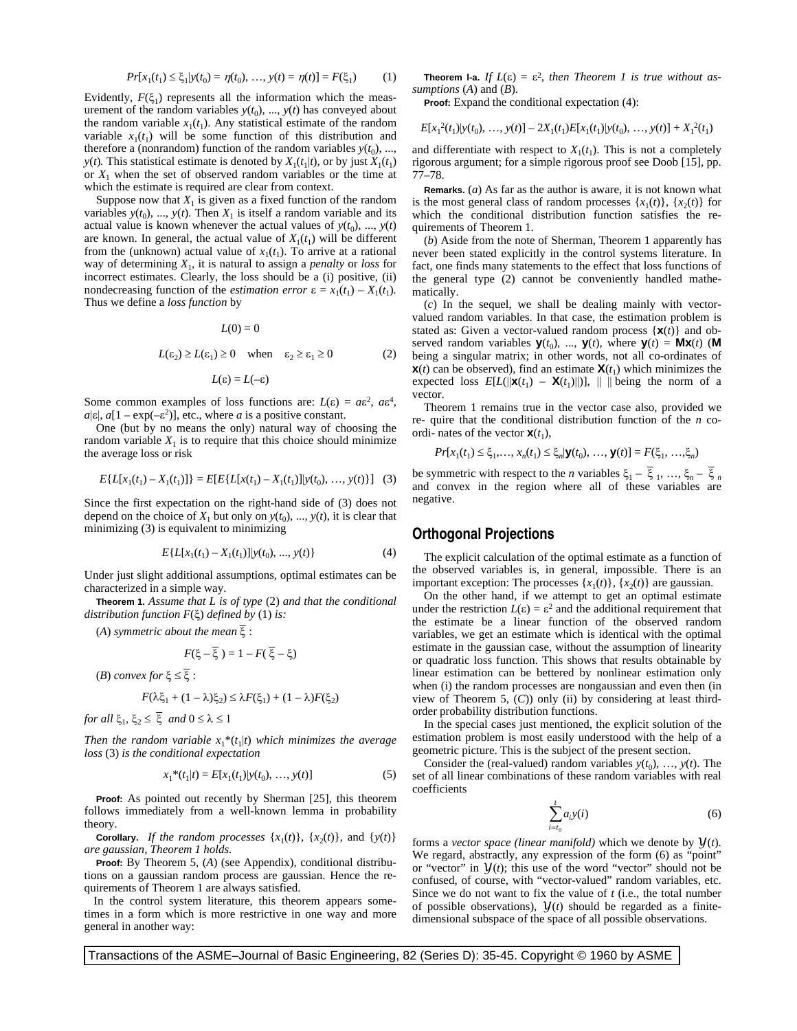$$
Pr[x_1(t_1) \le \xi_1 | y(t_0) = \eta(t_0), \dots, y(t) = \eta(t)] = F(\xi_1)
$$
 (1)

Evidently,  $F(\xi_1)$  represents all the information which the measurement of the random variables  $y(t_0)$ , ...,  $y(t)$  has conveyed about the random variable  $x_1(t_1)$ . Any statistical estimate of the random variable  $x_1(t_1)$  will be some function of this distribution and therefore a (nonrandom) function of the random variables  $y(t_0)$ , ..., *y*(*t*)*.* This statistical estimate is denoted by  $X_1(t_1|t)$ , or by just  $X_1(t_1)$ or  $X_1$  when the set of observed random variables or the time at which the estimate is required are clear from context.

Suppose now that  $X_1$  is given as a fixed function of the random variables  $y(t_0)$ , ...,  $y(t)$ . Then  $X_1$  is itself a random variable and its actual value is known whenever the actual values of  $y(t_0)$ , ...,  $y(t)$ are known. In general, the actual value of  $X_1(t_1)$  will be different from the (unknown) actual value of  $x_1(t_1)$ . To arrive at a rational way of determining *X*1, it is natural to assign a *penalty* or *loss* for incorrect estimates. Clearly, the loss should be a (i) positive, (ii) nondecreasing function of the *estimation error*  $\varepsilon = x_1(t_1) - X_1(t_1)$ . Thus we define a *loss function* by

 $L(0) = 0$ 

$$
L(\varepsilon_2) \ge L(\varepsilon_1) \ge 0 \quad \text{when} \quad \varepsilon_2 \ge \varepsilon_1 \ge 0 \tag{2}
$$

*L*(ε) = *L*(-ε)

Some common examples of loss functions are:  $L(\varepsilon) = a\varepsilon^2$ ,  $a\varepsilon^4$ ,  $a|\varepsilon|$ ,  $a[1 - \exp(-\varepsilon^2)]$ , etc., where *a* is a positive constant.

One (but by no means the only) natural way of choosing the random variable  $X_1$  is to require that this choice should minimize the average loss or risk

$$
E\{L[x_1(t_1) - X_1(t_1)]\} = E[E\{L[x(t_1) - X_1(t_1)]|y(t_0), \ldots, y(t)\}] \quad (3)
$$

Since the first expectation on the right-hand side of (3) does not depend on the choice of  $X_1$  but only on  $y(t_0)$ , ...,  $y(t)$ , it is clear that minimizing (3) is equivalent to minimizing

$$
E\{L[x_1(t_1) - X_1(t_1)] | y(t_0), ..., y(t)\}
$$
 (4)

Under just slight additional assumptions, optimal estimates can be characterized in a simple way.

**Theorem 1.** *Assume that L is of type* (2) *and that the conditional distribution function F*(ξ) *defined by* (1) *is:* 

(*A*) symmetric about the mean  $\overline{\xi}$  :

$$
F(\xi - \overline{\xi}) = 1 - F(\overline{\xi} - \xi)
$$

*(B) convex for* 
$$
\xi \leq \overline{\xi}
$$
 :

$$
F(\lambda \xi_1 + (1 - \lambda)\xi_2) \le \lambda F(\xi_1) + (1 - \lambda)F(\xi_2)
$$

*for all*  $\xi_1, \xi_2 \leq \overline{\xi}$  *and*  $0 \leq \lambda \leq 1$ 

*Then the random variable*  $x_1^*(t_1|t)$  *which minimizes the average loss* (3) *is the conditional expectation*

$$
x_1^*(t_1|t) = E[x_1(t_1)|y(t_0), \dots, y(t)] \tag{5}
$$

**Proof:** As pointed out recently by Sherman [25], this theorem follows immediately from a well-known lemma in probability theory.

**Corollary.** *If the random processes*  $\{x_1(t)\}, \{x_2(t)\},$  and  $\{y(t)\}$ *are gaussian, Theorem 1 holds.* 

**Proof:** By Theorem 5, (*A*) (see Appendix), conditional distributions on a gaussian random process are gaussian. Hence the requirements of Theorem 1 are always satisfied.

In the control system literature, this theorem appears sometimes in a form which is more restrictive in one way and more general in another way:

**Theorem 1-a.** If  $L(\varepsilon) = \varepsilon^2$ , then Theorem 1 is true without as*sumptions*  $(A)$  and  $(B)$ .

**Proof:** Expand the conditional expectation (4):

$$
E[x_1^{2}(t_1)|y(t_0),...,y(t)] - 2X_1(t_1)E[x_1(t_1)|y(t_0),...,y(t)] + X_1^{2}(t_1)
$$

and differentiate with respect to  $X_1(t_1)$ . This is not a completely rigorous argument; for a simple rigorous proof see Doob [15], pp. 77–78.

**Remarks.** (*a*) As far as the author is aware, it is not known what is the most general class of random processes  $\{x_1(t)\}\$ ,  $\{x_2(t)\}\$  for which the conditional distribution function satisfies the requirements of Theorem 1.

(*b*) Aside from the note of Sherman, Theorem 1 apparently has never been stated explicitly in the control systems literature. In fact, one finds many statements to the effect that loss functions of the general type (2) cannot be conveniently handled mathematically.

(*c*) In the sequel, we shall be dealing mainly with vectorvalued random variables. In that case, the estimation problem is stated as: Given a vector-valued random process  $\{X(t)\}\$ and observed random variables  $\mathbf{y}(t_0)$ , ...,  $\mathbf{y}(t)$ , where  $\mathbf{y}(t) = \mathbf{M}\mathbf{x}(t)$  (M being a singular matrix; in other words, not all co-ordinates of  $\mathbf{x}(t)$  can be observed), find an estimate  $\mathbf{X}(t_1)$  which minimizes the expected loss  $E[L(||\mathbf{x}(t_1) - \mathbf{X}(t_1)||)]$ ,  $||$  || being the norm of a vector.

Theorem 1 remains true in the vector case also, provided we re- quire that the conditional distribution function of the *n* coordi- nates of the vector  $\mathbf{x}(t_1)$ ,

$$
Pr[x_1(t_1) \le \xi_1, \dots, x_n(t_1) \le \xi_n | \mathbf{y}(t_0), \dots, \mathbf{y}(t)] = F(\xi_1, \dots, \xi_n)
$$

be symmetric with respect to the *n* variables  $\xi_1 - \xi_1, ..., \xi_n - \xi_n$ and convex in the region where all of these variables are negative.

## **Orthogonal Projections**

The explicit calculation of the optimal estimate as a function of the observed variables is, in general, impossible. There is an important exception: The processes  $\{x_1(t)\}, \{x_2(t)\}$  are gaussian.

On the other hand, if we attempt to get an optimal estimate under the restriction  $L(\varepsilon) = \varepsilon^2$  and the additional requirement that the estimate be a linear function of the observed random variables, we get an estimate which is identical with the optimal estimate in the gaussian case, without the assumption of linearity or quadratic loss function. This shows that results obtainable by linear estimation can be bettered by nonlinear estimation only when (i) the random processes are nongaussian and even then (in view of Theorem 5, (*C*)) only (ii) by considering at least thirdorder probability distribution functions.

In the special cases just mentioned, the explicit solution of the estimation problem is most easily understood with the help of a geometric picture. This is the subject of the present section.

Consider the (real-valued) random variables  $y(t_0)$ , ...,  $y(t)$ . The set of all linear combinations of these random variables with real coefficients

$$
\sum_{i=t_0}^{t} a_i y(i) \tag{6}
$$

forms a *vector space (linear manifold)* which we denote by  $Y(t)$ . We regard, abstractly, any expression of the form (6) as "point" or "vector" in  $V(t)$ ; this use of the word "vector" should not be confused, of course, with "vector-valued" random variables, etc. Since we do not want to fix the value of *t* (i.e., the total number of possible observations),  $\mathcal{Y}(t)$  should be regarded as a finitedimensional subspace of the space of all possible observations.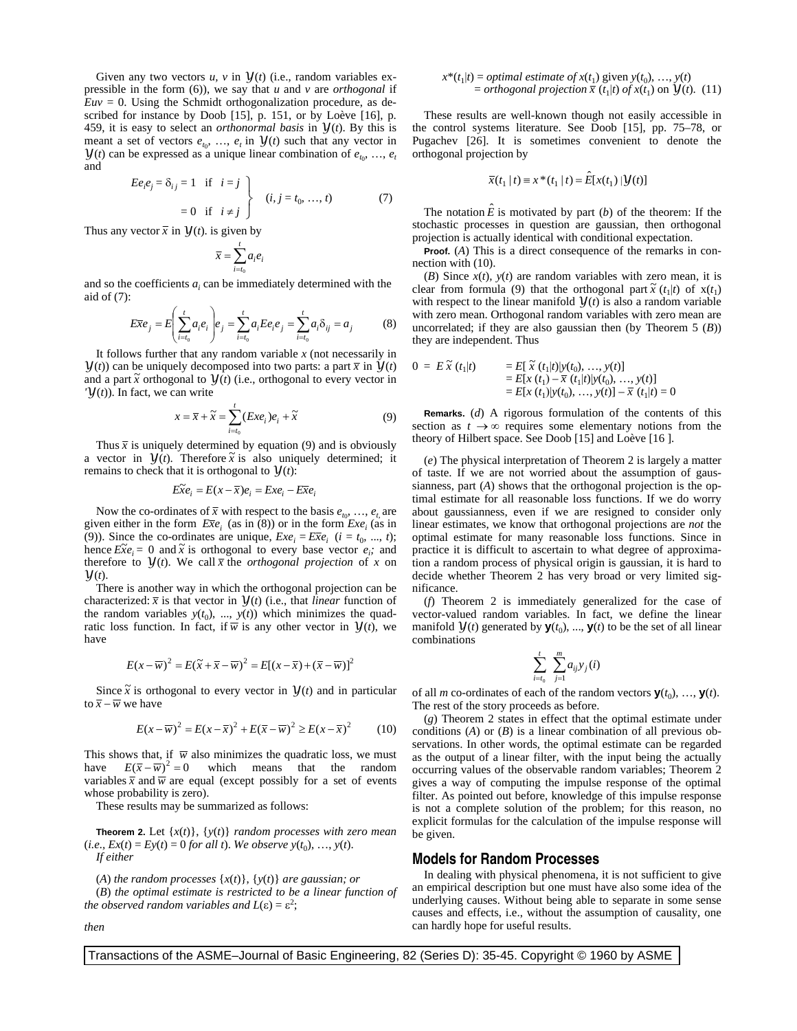Given any two vectors  $u$ ,  $v$  in  $\mathcal{Y}(t)$  (i.e., random variables expressible in the form (6)), we say that *u* and *v* are *orthogonal* if  $Euv = 0$ . Using the Schmidt orthogonalization procedure, as described for instance by Doob [15], p. 151, or by Loève [16], p. 459, it is easy to select an *orthonormal basis* in  $Y(t)$ . By this is meant a set of vectors  $e_{t_0}$ , ...,  $e_t$  in  $\mathcal{Y}(t)$  such that any vector in  $Y(t)$  can be expressed as a unique linear combination of  $e_{t_0}, \ldots, e_t$ and

$$
E e_i e_j = \delta_{ij} = 1 \quad \text{if} \quad i = j
$$
  
= 0 \quad \text{if} \quad i \neq j \qquad (i, j = t\_0, ..., t) \qquad (7)

Thus any vector  $\bar{x}$  in  $\mathcal{Y}(t)$ . is given by

$$
\overline{x} = \sum_{i=t_0}^{t} a_i e_i
$$

and so the coefficients  $a_i$  can be immediately determined with the aid of (7):

$$
E\bar{x}e_j = E\left(\sum_{i=t_0}^t a_i e_i\right) e_j = \sum_{i=t_0}^t a_i E e_i e_j = \sum_{i=t_0}^t a_i \delta_{ij} = a_j \tag{8}
$$

It follows further that any random variable *x* (not necessarily in  $\mathcal{Y}(t)$  can be uniquely decomposed into two parts: a part  $\bar{x}$  in  $\mathcal{Y}(t)$ and a part  $\tilde{x}$  orthogonal to  $\mathcal{Y}(t)$  (i.e., orthogonal to every vector in *'*Y(*t*)). In fact, we can write

$$
x = \overline{x} + \widetilde{x} = \sum_{i=t_0}^{t} (Exe_i)e_i + \widetilde{x}
$$
 (9)

Thus  $\bar{x}$  is uniquely determined by equation (9) and is obviously a vector in  $Y(t)$ . Therefore  $\tilde{x}$  is also uniquely determined; it remains to check that it is orthogonal to  $Y(t)$ :

$$
E\tilde{x}e_i = E(x - \overline{x})e_i = Exe_i - E\overline{x}e_i
$$

Now the co-ordinates of  $\bar{x}$  with respect to the basis  $e_{t_0}, \ldots, e_t$  are given either in the form  $E \bar{x} e_i$  (as in (8)) or in the form  $E x e_i$  (as in (9)). Since the co-ordinates are unique,  $Exe_i = Exe_i$  (*i* =  $t_0$ , ..., *t*); hence  $\widetilde{Ex}e_i = 0$  and  $\widetilde{x}$  is orthogonal to every base vector  $e_i$ ; and therefore to  $\mathcal{Y}(t)$ . We call  $\bar{x}$  the *orthogonal projection* of x on Y(*t*).

There is another way in which the orthogonal projection can be characterized:  $\bar{x}$  is that vector in  $\mathcal{Y}(t)$  (i.e., that *linear* function of the random variables  $y(t_0)$ , ...,  $y(t)$ ) which minimizes the quadratic loss function. In fact, if  $\overline{w}$  is any other vector in  $\mathcal{Y}(t)$ , we have

$$
E(x - \overline{w})^2 = E(\tilde{x} + \overline{x} - \overline{w})^2 = E[(x - \overline{x}) + (\overline{x} - \overline{w})]^2
$$

Since  $\tilde{x}$  is orthogonal to every vector in  $\mathcal{Y}(t)$  and in particular to  $\bar{x}$  −  $\bar{w}$  we have

$$
E(x - \overline{w})^2 = E(x - \overline{x})^2 + E(\overline{x} - \overline{w})^2 \ge E(x - \overline{x})^2 \tag{10}
$$

This shows that, if  $\overline{w}$  also minimizes the quadratic loss, we must have  $E(\bar{x} - \bar{w})^2 = 0$  which means that the random variables  $\bar{x}$  and  $\bar{w}$  are equal (except possibly for a set of events whose probability is zero).

These results may be summarized as follows:

**Theorem 2.** Let  $\{x(t)\}, \{y(t)\}$  *random processes with zero mean*  $(i.e., Ex(t) = Ey(t) = 0$  *for all t*). We observe  $y(t_0), ..., y(t)$ . *If either* 

(*A*) *the random processes*  $\{x(t)\}, \{y(t)\}\$  *are gaussian; or* (*B*) *the optimal estimate is restricted to be a linear function of the observed random variables and*  $L(\varepsilon) = \varepsilon^2$ ;

 $x^*(t_1|t) = optimal$  *estimate of*  $x(t_1)$  given  $y(t_0), \ldots, y(t)$  $=$  *orthogonal projection*  $\bar{x}$  (*t*<sub>1</sub>|*t*) *of*  $x(t_1)$  on  $\bar{y}(t)$ . (11)

These results are well-known though not easily accessible in the control systems literature. See Doob [15], pp. 75–78, or Pugachev [26]. It is sometimes convenient to denote the orthogonal projection by

$$
\bar{x}(t_1 | t) \equiv x * (t_1 | t) = \hat{E}[x(t_1) | Y(t)]
$$

The notation  $\hat{E}$  is motivated by part (*b*) of the theorem: If the stochastic processes in question are gaussian, then orthogonal projection is actually identical with conditional expectation.

**Proof.** (*A*) This is a direct consequence of the remarks in connection with (10).

(*B*) Since *x*(*t*)*, y*(*t*) are random variables with zero mean, it is clear from formula (9) that the orthogonal part  $\tilde{x}(t_1|t)$  of  $x(t_1)$ with respect to the linear manifold  $\mathcal{Y}(t)$  is also a random variable with zero mean. Orthogonal random variables with zero mean are uncorrelated; if they are also gaussian then (by Theorem 5 (*B*)) they are independent. Thus

$$
0 = E \tilde{x} (t_1 | t) = E[\tilde{x} (t_1 | t)] y(t_0), ..., y(t)]
$$
  
= E[x (t\_1) - \bar{x} (t\_1 | t)] y(t\_0), ..., y(t)]  
= E[x (t\_1)] y(t\_0), ..., y(t)] - \bar{x} (t\_1 | t) = 0

**Remarks.** (*d*) A rigorous formulation of the contents of this section as  $t \rightarrow \infty$  requires some elementary notions from the theory of Hilbert space. See Doob [15] and Loève [16 ].

(*e*) The physical interpretation of Theorem 2 is largely a matter of taste. If we are not worried about the assumption of gaussianness, part (*A*) shows that the orthogonal projection is the optimal estimate for all reasonable loss functions. If we do worry about gaussianness, even if we are resigned to consider only linear estimates, we know that orthogonal projections are *not* the optimal estimate for many reasonable loss functions. Since in practice it is difficult to ascertain to what degree of approximation a random process of physical origin is gaussian, it is hard to decide whether Theorem 2 has very broad or very limited significance.

(*f*) Theorem 2 is immediately generalized for the case of vector-valued random variables. In fact, we define the linear manifold  $\mathbf{y}(t)$  generated by  $\mathbf{y}(t_0)$ , ...,  $\mathbf{y}(t)$  to be the set of all linear combinations

$$
\sum_{i=t_0}^t \sum_{j=1}^m a_{ij} y_j(i)
$$

of all *m* co-ordinates of each of the random vectors  $\mathbf{y}(t_0), \ldots, \mathbf{y}(t)$ . The rest of the story proceeds as before.

(*g*) Theorem 2 states in effect that the optimal estimate under conditions (*A*) or (*B*) is a linear combination of all previous observations. In other words, the optimal estimate can be regarded as the output of a linear filter, with the input being the actually occurring values of the observable random variables; Theorem 2 gives a way of computing the impulse response of the optimal filter. As pointed out before, knowledge of this impulse response is not a complete solution of the problem; for this reason, no explicit formulas for the calculation of the impulse response will be given.

## **Models for Random Processes**

In dealing with physical phenomena, it is not sufficient to give an empirical description but one must have also some idea of the underlying causes. Without being able to separate in some sense causes and effects, i.e., without the assumption of causality, one can hardly hope for useful results.

Transactions of the ASME–Journal of Basic Engineering, 82 (Series D): 35-45. Copyright © 1960 by ASME

*then*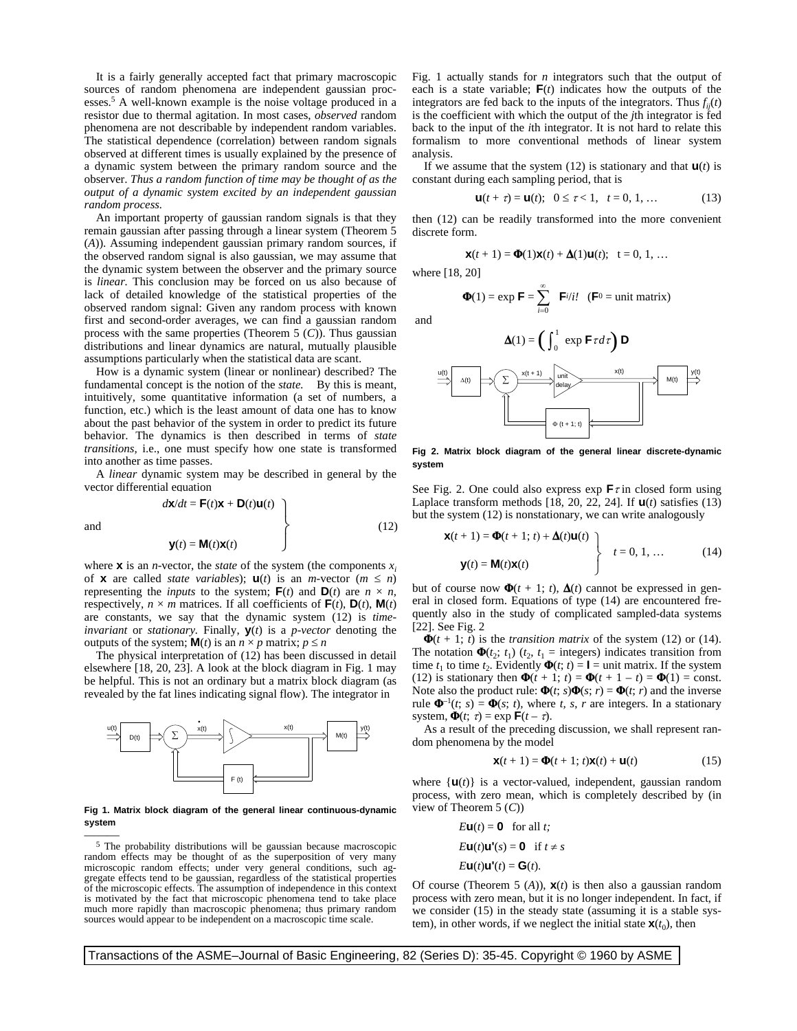It is a fairly generally accepted fact that primary macroscopic sources of random phenomena are independent gaussian processes.5 A well-known example is the noise voltage produced in a resistor due to thermal agitation. In most cases, *observed* random phenomena are not describable by independent random variables. The statistical dependence (correlation) between random signals observed at different times is usually explained by the presence of a dynamic system between the primary random source and the observer. *Thus a random function of time may be thought of as the output of a dynamic system excited by an independent gaussian random process.* 

An important property of gaussian random signals is that they remain gaussian after passing through a linear system (Theorem 5 (*A*)). Assuming independent gaussian primary random sources, if the observed random signal is also gaussian, we may assume that the dynamic system between the observer and the primary source is *linear.* This conclusion may be forced on us also because of lack of detailed knowledge of the statistical properties of the observed random signal: Given any random process with known first and second-order averages, we can find a gaussian random process with the same properties (Theorem 5 (*C*)). Thus gaussian distributions and linear dynamics are natural, mutually plausible assumptions particularly when the statistical data are scant.

How is a dynamic system (linear or nonlinear) described? The fundamental concept is the notion of the *state.* By this is meant, intuitively, some quantitative information (a set of numbers, a function, etc.) which is the least amount of data one has to know about the past behavior of the system in order to predict its future behavior. The dynamics is then described in terms of *state transitions,* i.e., one must specify how one state is transformed into another as time passes.

A *linear* dynamic system may be described in general by the vector differential equation

> $\vert$  $\left\{ \right.$  $\int$

and

$$
\mathbf{y}(t) = \mathbf{M}(t)\mathbf{x}(t)
$$

 $d\mathbf{x}/dt = \mathbf{F}(t)\mathbf{x} + \mathbf{D}(t)\mathbf{u}(t)$ 

where **x** is an *n*-vector, the *state* of the system (the components  $x_i$ of **x** are called *state variables*); **u**(*t*) is an *m*-vector ( $m \le n$ ) representing the *inputs* to the system;  $F(t)$  and  $D(t)$  are  $n \times n$ , respectively,  $n \times m$  matrices. If all coefficients of  $F(t)$ ,  $D(t)$ ,  $M(t)$ are constants, we say that the dynamic system (12) is *timeinvariant* or *stationary.* Finally, **y**(*t*) is a *p-vector* denoting the outputs of the system;  $\mathbf{M}(t)$  is an  $n \times p$  matrix;  $p \leq n$ 

The physical interpretation of (12) has been discussed in detail elsewhere [18, 20, 23]. A look at the block diagram in Fig. 1 may be helpful. This is not an ordinary but a matrix block diagram (as revealed by the fat lines indicating signal flow). The integrator in



**Fig 1. Matrix block diagram of the general linear continuous-dynamic system**

<sup>5</sup> The probability distributions will be gaussian because macroscopic random effects may be thought of as the superposition of very many microscopic random effects; under very general conditions, such aggregate effects tend to be gaussian, regardless of the statistical properties of the microscopic effects. The assumption of independence in this context is motivated by the fact that microscopic phenomena tend to take place much more rapidly than macroscopic phenomena; thus primary random sources would appear to be independent on a macroscopic time scale.

Fig. 1 actually stands for *n* integrators such that the output of each is a state variable;  $F(t)$  indicates how the outputs of the integrators are fed back to the inputs of the integrators. Thus  $f_{ii}(t)$ is the coefficient with which the output of the *j*th integrator is fed back to the input of the *i*th integrator. It is not hard to relate this formalism to more conventional methods of linear system analysis.

If we assume that the system  $(12)$  is stationary and that  $\mathbf{u}(t)$  is constant during each sampling period, that is

$$
\mathbf{u}(t+\tau) = \mathbf{u}(t); \ \ 0 \le \tau < 1, \ \ t = 0, 1, \ \dots \tag{13}
$$

then (12) can be readily transformed into the more convenient discrete form.

$$
\mathbf{x}(t+1) = \mathbf{\Phi}(1)\mathbf{x}(t) + \mathbf{\Delta}(1)\mathbf{u}(t); \ \ t = 0, 1, ...
$$

where [18, 20]

and

(12)

$$
\Phi(1) = \exp \mathbf{F} = \sum_{i=0}^{\infty} \mathbf{F}^{i} / i! \quad (\mathbf{F}^{0} = \text{unit matrix})
$$



**Fig 2. Matrix block diagram of the general linear discrete-dynamic system** 

See Fig. 2. One could also express exp  $\mathsf{F}\tau$  in closed form using Laplace transform methods [18, 20, 22, 24]. If **u**(*t*) satisfies (13) but the system (12) is nonstationary, we can write analogously

$$
\mathbf{x}(t+1) = \mathbf{\Phi}(t+1; t) + \mathbf{\Delta}(t)\mathbf{u}(t)
$$
  

$$
\mathbf{y}(t) = \mathbf{M}(t)\mathbf{x}(t)
$$
 (14)

but of course now **Φ**(*t* + 1; *t*), **∆**(*t*) cannot be expressed in general in closed form. Equations of type (14) are encountered frequently also in the study of complicated sampled-data systems [22]. See Fig. 2

 $\Phi(t + 1; t)$  is the *transition matrix* of the system (12) or (14). The notation  $\Phi(t_2; t_1)$  ( $t_2$ ,  $t_1$  = integers) indicates transition from time  $t_1$  to time  $t_2$ . Evidently  $\Phi(t; t) = I$  = unit matrix. If the system (12) is stationary then  $\Phi(t + 1; t) = \Phi(t + 1 - t) = \Phi(1) = \text{const.}$ Note also the product rule:  $\Phi(t; s)\Phi(s; r) = \Phi(t; r)$  and the inverse rule  $\mathbf{\Phi}^{-1}(t; s) = \mathbf{\Phi}(s; t)$ , where *t, s, r* are integers. In a stationary system,  $\Phi(t; \tau) = \exp \mathbf{F}(t - \tau)$ .

As a result of the preceding discussion, we shall represent random phenomena by the model

$$
\mathbf{x}(t+1) = \mathbf{\Phi}(t+1; t)\mathbf{x}(t) + \mathbf{u}(t)
$$
 (15)

where  $\{u(t)\}\$ is a vector-valued, independent, gaussian random process, with zero mean, which is completely described by (in view of Theorem 5 (*C*))

$$
E\mathbf{u}(t) = \mathbf{0} \text{ for all } t;
$$
  
\n
$$
E\mathbf{u}(t)\mathbf{u}^{\mathbf{t}}(s) = \mathbf{0} \text{ if } t \neq s
$$
  
\n
$$
E\mathbf{u}(t)\mathbf{u}^{\mathbf{t}}(t) = \mathbf{G}(t).
$$

Of course (Theorem 5  $(A)$ ),  $\mathbf{x}(t)$  is then also a gaussian random process with zero mean, but it is no longer independent. In fact, if we consider (15) in the steady state (assuming it is a stable system), in other words, if we neglect the initial state  $\mathbf{x}(t_0)$ , then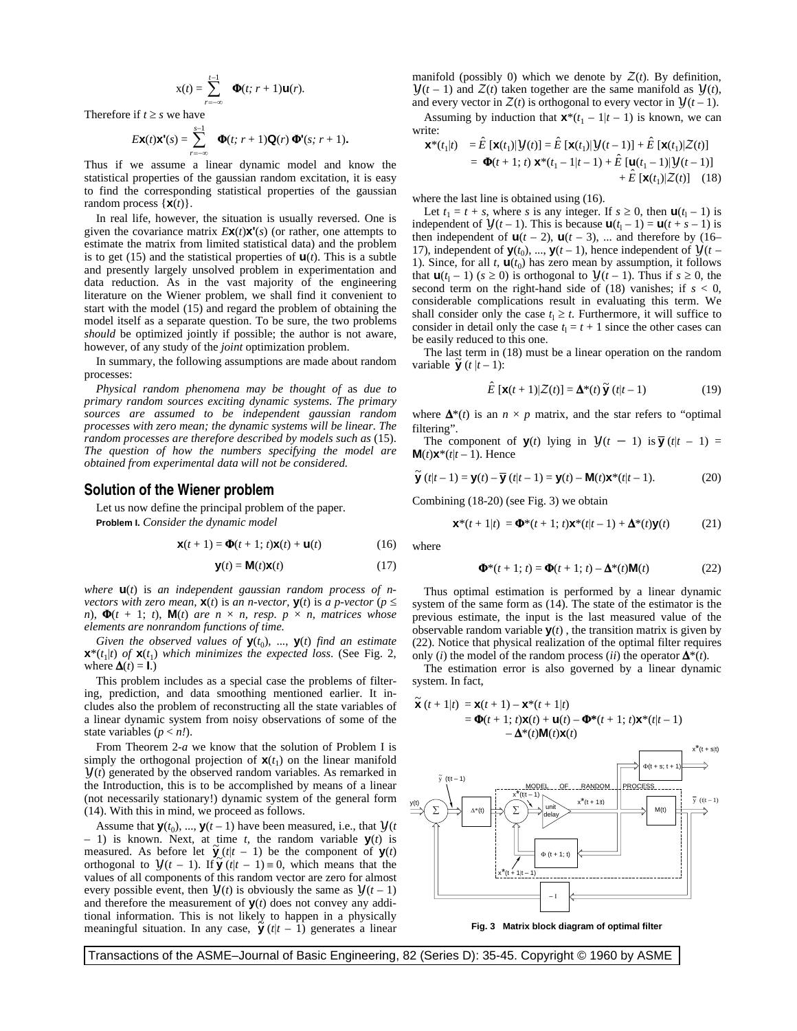$$
\mathbf{x}(t) = \sum_{r=-\infty}^{t-1} \boldsymbol{\Phi}(t; r+1)\mathbf{u}(r).
$$

Therefore if  $t \geq s$  we have

$$
E\mathbf{X}(t)\mathbf{X}^{\mathsf{T}}(s) = \sum_{r=-\infty}^{s-1} \boldsymbol{\Phi}(t; r+1)\mathbf{Q}(r) \boldsymbol{\Phi}^{\mathsf{T}}(s; r+1).
$$

Thus if we assume a linear dynamic model and know the statistical properties of the gaussian random excitation, it is easy to find the corresponding statistical properties of the gaussian random process  $\{X(t)\}.$ 

In real life, however, the situation is usually reversed. One is given the covariance matrix  $E\mathbf{x}(t)\mathbf{x}'(s)$  (or rather, one attempts to estimate the matrix from limited statistical data) and the problem is to get (15) and the statistical properties of  $\mathbf{u}(t)$ . This is a subtle and presently largely unsolved problem in experimentation and data reduction. As in the vast majority of the engineering literature on the Wiener problem, we shall find it convenient to start with the model (15) and regard the problem of obtaining the model itself as a separate question. To be sure, the two problems *should* be optimized jointly if possible; the author is not aware, however, of any study of the *joint* optimization problem.

In summary, the following assumptions are made about random processes:

*Physical random phenomena may be thought of* as *due to primary random sources exciting dynamic systems. The primary sources are assumed to be independent gaussian random processes with zero mean; the dynamic systems will be linear. The random processes are therefore described by models such as* (15). *The question of how the numbers specifying the model are obtained from experimental data will not be considered.* 

## **Solution of the Wiener problem**

Let us now define the principal problem of the paper.

**Problem I.** *Consider the dynamic model* 

$$
\mathbf{X}(t+1) = \mathbf{\Phi}(t+1; t)\mathbf{X}(t) + \mathbf{u}(t)
$$
 (16)

$$
\mathbf{y}(t) = \mathbf{M}(t)\mathbf{x}(t) \tag{17}
$$

*where* **u**(*t*) is *an independent gaussian random process of nvectors with zero mean,*  $\mathbf{x}(t)$  is *an n-vector,*  $\mathbf{y}(t)$  is *a p-vector* ( $p \leq$ *n*),  $\Phi(t + 1; t)$ ,  $\mathbf{M}(t)$  are  $n \times n$ , resp.  $p \times n$ , matrices whose *elements are nonrandom functions of time.* 

*Given the observed values of*  $y(t_0)$ , ...,  $y(t)$  *find an estimate*  $\mathbf{x}^*(t_1|t)$  *of*  $\mathbf{x}(t_1)$  *which minimizes the expected loss.* (See Fig. 2, where  $\Delta(t) = I$ .)

This problem includes as a special case the problems of filtering, prediction, and data smoothing mentioned earlier. It includes also the problem of reconstructing all the state variables of a linear dynamic system from noisy observations of some of the state variables  $(p < n!)$ .

From Theorem 2-*a* we know that the solution of Problem I is simply the orthogonal projection of  $\mathbf{x}(t_1)$  on the linear manifold  $Y(t)$  generated by the observed random variables. As remarked in the Introduction, this is to be accomplished by means of a linear (not necessarily stationary!) dynamic system of the general form (14). With this in mind, we proceed as follows.

Assume that  $\mathbf{y}(t_0)$ , ...,  $\mathbf{y}(t-1)$  have been measured, i.e., that  $\mathbf{y}(t)$  $- 1$ ) is known. Next, at time *t*, the random variable **y**(*t*) is measured. As before let  $\tilde{y}(t|t-1)$  be the component of  $y(t)$ orthogonal to  $\mathcal{Y}(t-1)$ . If  $\tilde{\mathbf{y}}(t|t-1) \equiv 0$ , which means that the values of all components of this random vector are zero for almost every possible event, then  $V(t)$  is obviously the same as  $V(t-1)$ and therefore the measurement of  $y(t)$  does not convey any additional information. This is not likely to happen in a physically meaningful situation. In any case,  $\tilde{y}$  ( $t|t-1$ ) generates a linear manifold (possibly 0) which we denote by  $Z(t)$ *.* By definition,  $Y(t-1)$  and  $Z(t)$  taken together are the same manifold as  $Y(t)$ , and every vector in  $Z(t)$  is orthogonal to every vector in  $V(t-1)$ . Assuming by induction that  $\mathbf{x}^*(t_1 - 1|t - 1)$  is known, we can

write: **x**<sup>\*</sup>(*t*<sub>1</sub>|*t*) =  $\hat{E}$  [**x**(*t*<sub>1</sub>)|**y**(*t*)] =  $\hat{E}$  [**x**(*t*<sub>1</sub>)|**y**(*t* – 1)] +  $\hat{E}$  [**x**(*t*<sub>1</sub>)|Z(*t*)]  $= \Phi(t+1; t) \mathbf{X}^*(t_1 - 1|t-1) + \hat{E} [\mathbf{u}(t_1 - 1)|\mathbf{Y}(t-1)]$ 

1; *t*) 
$$
\mathbf{X}^{\infty}(t_1 - 1|t - 1) + E \left[ \mathbf{u}(t_1 - 1)|\mathbf{y}(t - 1) \right]
$$
  
  $+ \hat{E} \left[ \mathbf{X}(t_1)|Z(t) \right]$  (18)

where the last line is obtained using (16).

Let  $t_1 = t + s$ , where *s* is any integer. If  $s \ge 0$ , then  $\mathbf{u}(t_1 - 1)$  is independent of  $\mathbf{y}(t-1)$ . This is because  $\mathbf{u}(t_1 - 1) = \mathbf{u}(t + s - 1)$  is then independent of  $u(t - 2)$ ,  $u(t - 3)$ , ... and therefore by (16– 17), independent of  $\mathbf{y}(t_0)$ , ...,  $\mathbf{y}(t-1)$ , hence independent of  $\mathbf{y}(t-1)$ 1). Since, for all *t*,  $\mathbf{u}(t_0)$  has zero mean by assumption, it follows that **u**( $t_1$  – 1) ( $s \ge 0$ ) is orthogonal to  $\mathcal{Y}(t-1)$ . Thus if  $s \ge 0$ , the second term on the right-hand side of  $(18)$  vanishes; if  $s < 0$ , considerable complications result in evaluating this term. We shall consider only the case  $t_1 \geq t$ . Furthermore, it will suffice to consider in detail only the case  $t_1 = t + 1$  since the other cases can be easily reduced to this one.

The last term in (18) must be a linear operation on the random variable  $\tilde{\mathbf{y}}$  (*t*  $|t-1$ ):

$$
\hat{E} [\mathbf{X}(t+1)|Z(t)] = \mathbf{\Delta}^*(t) \tilde{\mathbf{y}} (t|t-1)
$$
\n(19)

where  $\Delta^*(t)$  is an  $n \times p$  matrix, and the star refers to "optimal" filtering".

The component of **y**(*t*) lying in  $\mathcal{Y}(t - 1)$  is  $\overline{\mathbf{y}}(t|t - 1) =$  $M(t)X^*(t|t-1)$ . Hence

$$
\widetilde{\mathbf{y}}(t|t-1) = \mathbf{y}(t) - \overline{\mathbf{y}}(t|t-1) = \mathbf{y}(t) - \mathbf{M}(t)\mathbf{x}^*(t|t-1).
$$
 (20)

Combining (18-20) (see Fig. 3) we obtain

$$
\mathbf{X}^*(t+1|t) = \mathbf{\Phi}^*(t+1; t)\mathbf{X}^*(t|t-1) + \mathbf{\Delta}^*(t)\mathbf{y}(t) \tag{21}
$$

where

$$
\mathbf{\Phi}^*(t+1; t) = \mathbf{\Phi}(t+1; t) - \mathbf{\Delta}^*(t)\mathbf{M}(t)
$$
 (22)

Thus optimal estimation is performed by a linear dynamic system of the same form as (14). The state of the estimator is the previous estimate, the input is the last measured value of the observable random variable  $y(t)$ , the transition matrix is given by (22). Notice that physical realization of the optimal filter requires only (*i*) the model of the random process (*ii*) the operator  $\Delta^*(t)$ .

The estimation error is also governed by a linear dynamic system. In fact,

$$
\widetilde{\mathbf{x}}(t+1|t) = \mathbf{x}(t+1) - \mathbf{x}^*(t+1|t) \n= \Phi(t+1; t)\mathbf{x}(t) + \mathbf{u}(t) - \Phi^*(t+1; t)\mathbf{x}^*(t|t-1) \n- \Delta^*(t)\mathbf{M}(t)\mathbf{x}(t)
$$



**Fig. 3 Matrix block diagram of optimal filter**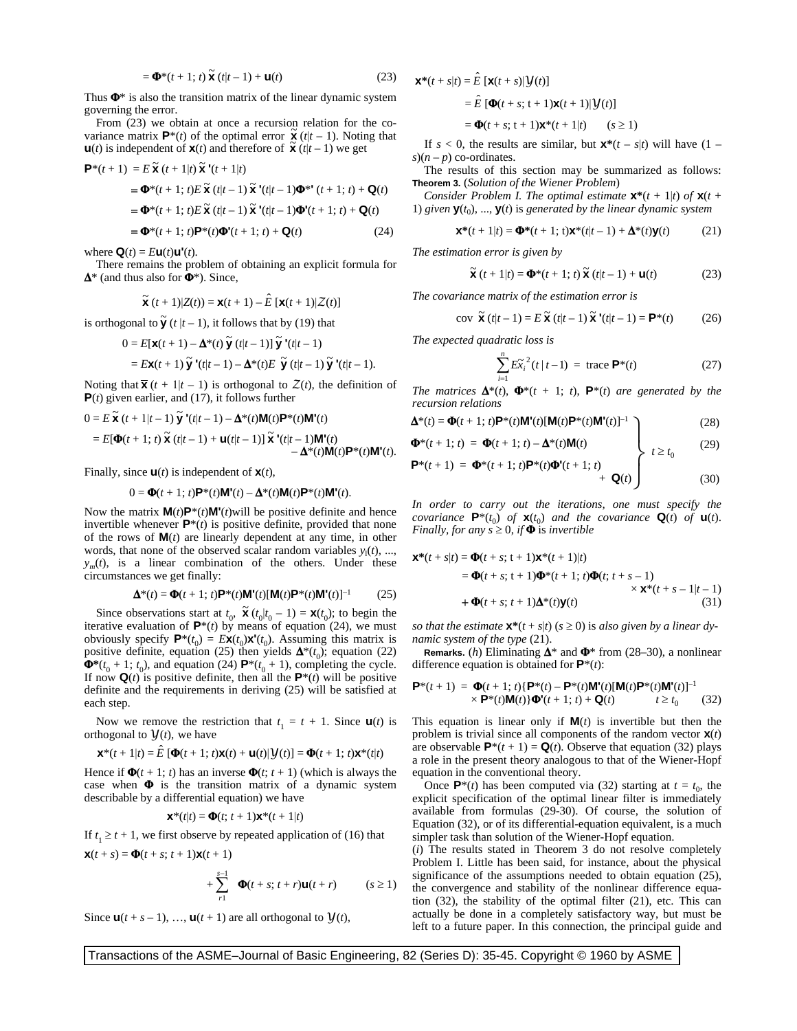$$
= \mathbf{\Phi}^*(t+1; t) \widetilde{\mathbf{x}}(t|t-1) + \mathbf{u}(t)
$$
\n(23)

Thus **Φ**\* is also the transition matrix of the linear dynamic system governing the error.

From (23) we obtain at once a recursion relation for the covariance matrix  $\mathbf{P}^*(t)$  of the optimal error  $\tilde{\mathbf{X}}(t|t-1)$ . Noting that **u**(*t*) is independent of **x**(*t*) and therefore of  $\tilde{\mathbf{x}}$  (*t*|*t* – 1). Noting **u**(*t*) is independent of **x**(*t*) and therefore of  $\tilde{\mathbf{x}}$  (*t*|*t* – 1) we get

$$
\begin{aligned} \mathbf{P}^*(t+1) &= E \widetilde{\mathbf{x}} \ (t+1|t) \widetilde{\mathbf{x}} \ (t+1|t) \\ &= \mathbf{\Phi}^*(t+1;t) E \widetilde{\mathbf{x}} \ (t|t-1) \widetilde{\mathbf{x}} \ (t|t-1) \mathbf{\Phi}^{*t} \ (t+1;t) + \mathbf{Q}(t) \\ &= \mathbf{\Phi}^*(t+1;t) E \widetilde{\mathbf{x}} \ (t|t-1) \widetilde{\mathbf{x}} \ (t|t-1) \mathbf{\Phi}^t(t+1;t) + \mathbf{Q}(t) \\ &= \mathbf{\Phi}^*(t+1;t) \mathbf{P}^*(t) \mathbf{\Phi}^t(t+1;t) + \mathbf{Q}(t) \end{aligned} \tag{24}
$$

where  $\mathbf{Q}(t) = E \mathbf{U}(t) \mathbf{U}^{\mathsf{T}}(t)$ .

There remains the problem of obtaining an explicit formula for **∆**\* (and thus also for **Φ**\*). Since,

$$
\widetilde{\mathbf{x}}(t+1)|Z(t)) = \mathbf{x}(t+1) - \hat{E}[\mathbf{x}(t+1)|Z(t)]
$$

is orthogonal to  $\tilde{y}$  (*t*  $|t-1$ ), it follows that by (19) that

 $\sim$   $\sim$ 

$$
0 = E[\mathbf{x}(t+1) - \Delta^*(t) \widetilde{\mathbf{y}}(t|t-1)] \widetilde{\mathbf{y}}'(t|t-1)
$$
  
= 
$$
E\mathbf{x}(t+1) \widetilde{\mathbf{y}}'(t|t-1) - \Delta^*(t) E \widetilde{\mathbf{y}}(t|t-1) \widetilde{\mathbf{y}}'(t|t-1).
$$

Noting that  $\bar{\mathbf{x}}$  ( $t + 1|t - 1$ ) is orthogonal to  $\bar{Z}(t)$ , the definition of **P**(*t*) given earlier, and (17), it follows further

$$
0 = E \widetilde{\mathbf{x}} (t+1|t-1) \widetilde{\mathbf{y}}' (t|t-1) - \Delta^*(t) \mathbf{M}(t) \mathbf{P}^*(t) \mathbf{M}^*(t)
$$
  
= 
$$
E[\Phi(t+1; t) \widetilde{\mathbf{x}} (t|t-1) + \mathbf{u}(t|t-1)] \widetilde{\mathbf{x}}' (t|t-1) \mathbf{M}^*(t)
$$

$$
- \Delta^*(t) \mathbf{M}(t) \mathbf{P}^*(t) \mathbf{M}^*(t).
$$

Finally, since  $\mathbf{u}(t)$  is independent of  $\mathbf{x}(t)$ ,

$$
0 = \mathbf{\Phi}(t+1; t)\mathbf{P}^*(t)\mathbf{M}^*(t) - \mathbf{\Delta}^*(t)\mathbf{M}(t)\mathbf{P}^*(t)\mathbf{M}^*(t).
$$

Now the matrix  $M(t)P^*(t)M'(t)$  be positive definite and hence invertible whenever  $\mathbf{P}^*(t)$  is positive definite, provided that none of the rows of **M**(*t*) are linearly dependent at any time, in other words, that none of the observed scalar random variables  $y_1(t)$ , ...,  $y_m(t)$ , is a linear combination of the others. Under these circumstances we get finally:

$$
\Delta^*(t) = \Phi(t+1; t) \mathbf{P}^*(t) \mathbf{M}^*(t) [\mathbf{M}(t) \mathbf{P}^*(t) \mathbf{M}^*(t)]^{-1}
$$
 (25)

Since observations start at  $t_0$ ,  $\tilde{\mathbf{x}}$  ( $t_0|t_0 - 1$ ) =  $\mathbf{x}(t_0)$ ; to begin the iterative evaluation of  $\mathbf{P}^*(t)$  by means of equation (24), we must obviously specify  $\mathbf{P}^*(t_0) = E\mathbf{X}(t_0)\mathbf{X}'(t_0)$ . Assuming this matrix is positive definite, equation (25) then yields  $\mathbf{\Delta}^*(t_0)$ ; equation (22)  $\Phi^*(t_0 + 1; t_0)$ , and equation (24)  $\mathbf{P}^*(t_0 + 1)$ , completing the cycle. If now **Q**(*t*) is positive definite, then all the  $\mathbf{P}^*(t)$  will be positive definite and the requirements in deriving (25) will be satisfied at each step.

Now we remove the restriction that  $t_1 = t + 1$ . Since **u**(*t*) is orthogonal to  $\mathcal{Y}(t)$ , we have

$$
\mathbf{X}^*(t+1|t) = \hat{E} \left[ \mathbf{\Phi}(t+1; t) \mathbf{X}(t) + \mathbf{u}(t) | \mathbf{Y}(t) \right] = \mathbf{\Phi}(t+1; t) \mathbf{X}^*(t|t)
$$

Hence if  $\Phi(t+1; t)$  has an inverse  $\Phi(t; t+1)$  (which is always the case when **Φ** is the transition matrix of a dynamic system describable by a differential equation) we have

$$
\mathbf{X}^*(t|t) = \mathbf{\Phi}(t; t+1)\mathbf{X}^*(t+1|t)
$$

If  $t_1 \ge t + 1$ , we first observe by repeated application of (16) that

$$
\mathbf{x}(t+s) = \mathbf{\Phi}(t+s; t+1)\mathbf{x}(t+1)
$$

$$
+\sum_{r1}^{ } \boldsymbol{\Phi}(t+s; t+r) \mathbf{u}(t+r) \qquad (s \ge 1)
$$

Since  $\mathbf{u}(t+s-1), \ldots, \mathbf{u}(t+1)$  are all orthogonal to  $\mathcal{Y}(t)$ ,

$$
\mathbf{X}^*(t+s|t) = \hat{E} [\mathbf{X}(t+s)|\mathbf{Y}(t)]
$$

$$
= \hat{E} \left[ \mathbf{\Phi}(t+s; t+1) \mathbf{x}(t+1) | \mathbf{Y}(t) \right]
$$

$$
= \Phi(t+s; t+1)\mathbf{X}^*(t+1|t) \qquad (s \ge 1)
$$

If  $s < 0$ , the results are similar, but  $\mathbf{X}^*(t - s|t)$  will have  $(1$  $s(n-p)$  co-ordinates.

The results of this section may be summarized as follows: **Theorem 3.** (*Solution of the Wiener Problem*)

*Consider Problem I. The optimal estimate*  $\mathbf{X}^*(t+1|t)$  *of*  $\mathbf{X}(t+1)$ 1) given  $\mathbf{y}(t_0)$ , ...,  $\mathbf{y}(t)$  is generated by the linear dynamic system

$$
\mathbf{X}^*(t+1|t) = \mathbf{\Phi}^*(t+1; \mathbf{t})\mathbf{X}^*(t|t-1) + \mathbf{\Delta}^*(t)\mathbf{y}(t) \tag{21}
$$

*The estimation error is given by* 

$$
\widetilde{\mathbf{x}}(t+1|t) = \mathbf{\Phi}^*(t+1; t) \widetilde{\mathbf{x}}(t|t-1) + \mathbf{u}(t)
$$
\n(23)

*The covariance matrix of the estimation error is* 

$$
cov \ \widetilde{\mathbf{x}} \ (t|t-1) = E \ \widetilde{\mathbf{x}} \ (t|t-1) \ \widetilde{\mathbf{x}} \ 't|t-1) = \mathbf{P}^*(t) \tag{26}
$$

*The expected quadratic loss is* 

$$
\sum_{i=1}^{n} E\tilde{x}_{i}^{2}(t | t-1) = \text{trace } \mathbf{P}^{*}(t)
$$
 (27)

*The matrices*  $\mathbf{\Delta}^*(t)$ ,  $\mathbf{\Phi}^*(t + 1; t)$ ,  $\mathbf{P}^*(t)$  *are generated by the recursion relations*

$$
\Delta^*(t) = \Phi(t+1; t)\mathbf{P}^*(t)\mathbf{M}^*(t)[\mathbf{M}(t)\mathbf{P}^*(t)\mathbf{M}^*(t)]^{-1}
$$
\n
$$
\Phi^*(t+1; t) = \Phi(t+1; t) - \mathbf{A}^*(t)\mathbf{M}(t)
$$
\n(28)

$$
\Phi^*(t+1; t) = \Phi(t+1; t) - \Delta^*(t) \mathbf{M}(t)
$$
\n
$$
\mathbf{P}^*(t+1) = \Phi^*(t+1; t) \mathbf{P}^*(t) \Phi^*(t+1; t)
$$
\n(29)

$$
\mathbf{P}^*(t+1) = \mathbf{\Phi}^*(t+1; t)\mathbf{P}^*(t)\mathbf{\Phi}^*(t+1; t) + \mathbf{Q}(t) + \mathbf{Q}(t)
$$
\n(30)

*In order to carry out the iterations, one must specify the covariance*  $\mathbf{P}^*(t_0)$  *of*  $\mathbf{x}(t_0)$  *and the covariance*  $\mathbf{Q}(t)$  *of*  $\mathbf{u}(t)$ . *Finally, for any*  $s \geq 0$ *, if*  $\Phi$  *is invertible* 

$$
\mathbf{x}^*(t+s|t) = \mathbf{\Phi}(t+s; t+1)\mathbf{x}^*(t+1)|t)
$$
  
=  $\mathbf{\Phi}(t+s; t+1)\mathbf{\Phi}^*(t+1; t)\mathbf{\Phi}(t; t+s-1)$   
+  $\mathbf{\Phi}(t+s; t+1)\mathbf{\Delta}^*(t)\mathbf{y}(t)$  (31)

*so that the estimate*  $\mathbf{X}^*(t + s|t)$  ( $s \ge 0$ ) is also given by a linear dy*namic system of the type* (21).

**Remarks.** (*h*) Eliminating **∆**\* and **Φ**\* from (28–30), a nonlinear difference equation is obtained for **P**\*(*t*):

$$
\begin{array}{lll} \mathbf{P}^*(t+1) & = & \Phi(t+1;\,t) \{ \mathbf{P}^*(t) - \mathbf{P}^*(t) \mathbf{M}^*(t) [\mathbf{M}(t) \mathbf{P}^*(t) \mathbf{M}^*(t)]^{-1} \\ & \times & \mathbf{P}^*(t) \mathbf{M}(t) \} \Phi^*(t+1;\,t) + \mathbf{Q}(t) & t \ge t_0 \end{array} \tag{32}
$$

This equation is linear only if  $M(t)$  is invertible but then the problem is trivial since all components of the random vector **x**(*t*) are observable  $\mathbf{P}^*(t+1) = \mathbf{Q}(t)$ . Observe that equation (32) plays a role in the present theory analogous to that of the Wiener-Hopf equation in the conventional theory.

Once  $\mathbf{P}^*(t)$  has been computed via (32) starting at  $t = t_0$ , the explicit specification of the optimal linear filter is immediately available from formulas (29-30). Of course, the solution of Equation (32), or of its differential-equation equivalent, is a much simpler task than solution of the Wiener-Hopf equation.

(*i*) The results stated in Theorem 3 do not resolve completely Problem I. Little has been said, for instance, about the physical significance of the assumptions needed to obtain equation (25), the convergence and stability of the nonlinear difference equation (32), the stability of the optimal filter (21), etc. This can actually be done in a completely satisfactory way, but must be left to a future paper. In this connection, the principal guide and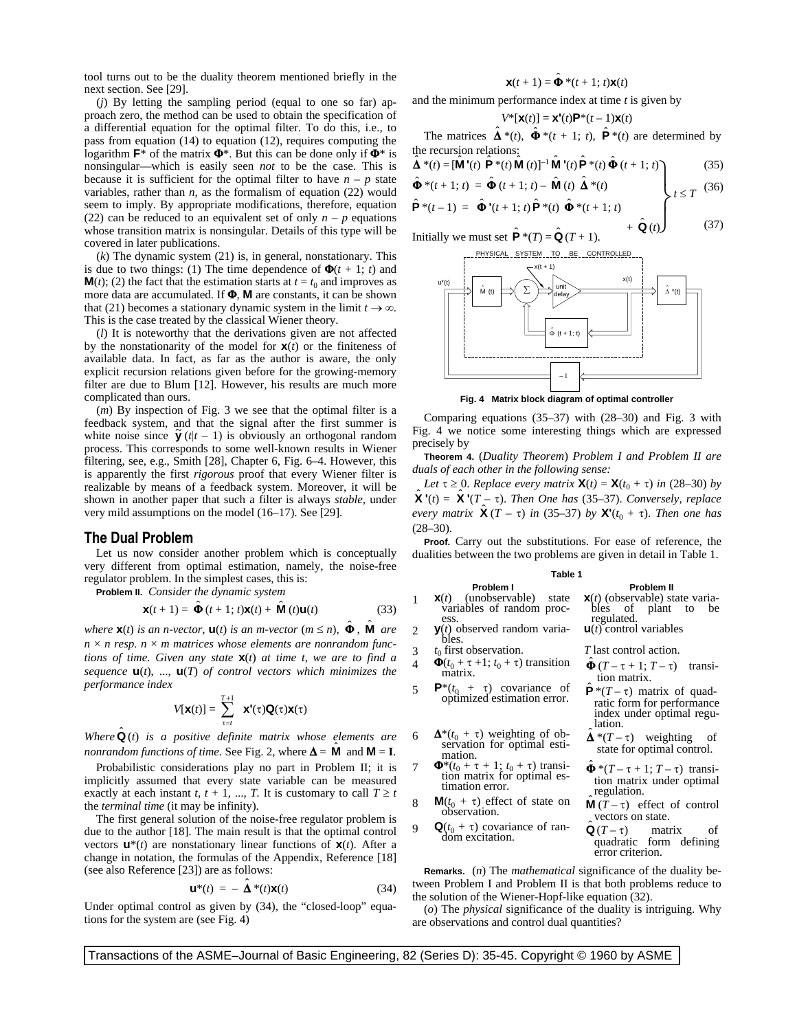tool turns out to be the duality theorem mentioned briefly in the next section. See [29].

(*j*) By letting the sampling period (equal to one so far) approach zero, the method can be used to obtain the specification of a differential equation for the optimal filter. To do this, i.e., to pass from equation (14) to equation (12), requires computing the logarithm **F**\* of the matrix **Φ**\*. But this can be done only if **Φ**\* is nonsingular—which is easily seen *not* to be the case. This is because it is sufficient for the optimal filter to have  $n - p$  state variables, rather than  $n$ , as the formalism of equation  $(22)$  would seem to imply. By appropriate modifications, therefore, equation (22) can be reduced to an equivalent set of only  $n - p$  equations whose transition matrix is nonsingular. Details of this type will be covered in later publications.

(*k*) The dynamic system (21) is, in general, nonstationary. This is due to two things: (1) The time dependence of  $\Phi(t + 1; t)$  and  **(2) the fact that the estimation starts at**  $t = t<sub>0</sub>$  **and improves as** more data are accumulated. If **Φ**, **M** are constants, it can be shown that (21) becomes a stationary dynamic system in the limit  $t \to \infty$ . This is the case treated by the classical Wiener theory.

(*l*) It is noteworthy that the derivations given are not affected by the nonstationarity of the model for  $\mathbf{x}(t)$  or the finiteness of available data. In fact, as far as the author is aware, the only explicit recursion relations given before for the growing-memory filter are due to Blum [12]. However, his results are much more complicated than ours.

(*m*) By inspection of Fig. 3 we see that the optimal filter is a feedback system, and that the signal after the first summer is white noise since  $\tilde{y}(t|t-1)$  is obviously an orthogonal random process. This corresponds to some well-known results in Wiener filtering, see, e.g., Smith [28], Chapter 6, Fig. 6–4. However, this is apparently the first *rigorous* proof that every Wiener filter is realizable by means of a feedback system. Moreover, it will be shown in another paper that such a filter is always *stable,* under very mild assumptions on the model (16–17). See [29].

### **The Dual Problem**

Let us now consider another problem which is conceptually very different from optimal estimation, namely, the noise-free regulator problem. In the simplest cases, this is:

**Problem II.** *Consider the dynamic system*

$$
\mathbf{x}(t+1) = \hat{\mathbf{\Phi}}(t+1; t)\mathbf{x}(t) + \hat{\mathbf{M}}(t)\mathbf{u}(t)
$$
 (33)

*where*  $\mathbf{x}(t)$  *is an n-vector*,  $\mathbf{u}(t)$  *is an m-vector* ( $m \le n$ ),  $\Phi$ , **M** *are*  $n \times n$  resp.  $n \times m$  matrices whose elements are nonrandom func*tions of time. Given any state* **x**(*t*) *at time t, we are to find a sequence* **u**(*t*), ..., **u**(*T*) *of control vectors which minimizes the performance index*

$$
V[\mathbf{x}(t)] = \sum_{\tau=t}^{T+1} \mathbf{x}^{\mathbf{t}}(\tau) \mathbf{Q}(\tau) \mathbf{x}(\tau)
$$

*Where*  $\hat{\mathbf{Q}}(t)$  *is a positive definite matrix whose elements are nonrandom functions of time.* See Fig. 2, where  $\Delta = M$  and  $M = I$ .

Probabilistic considerations play no part in Problem II; it is implicitly assumed that every state variable can be measured exactly at each instant  $t$ ,  $t + 1$ , ...,  $T$ . It is customary to call  $T \geq t$ the *terminal time* (it may be infinity).

The first general solution of the noise-free regulator problem is due to the author [18]. The main result is that the optimal control vectors  $\mathbf{u}^*(t)$  are nonstationary linear functions of  $\mathbf{x}(t)$ . After a change in notation, the formulas of the Appendix, Reference [18] (see also Reference [23]) are as follows:

$$
\mathbf{u}^*(t) = -\hat{\mathbf{\Delta}}^*(t)\mathbf{x}(t) \tag{34}
$$

Under optimal control as given by (34), the "closed-loop" equations for the system are (see Fig. 4)

$$
\mathbf{X}(t+1) = \mathbf{\Phi}^*(t+1; t)\mathbf{X}(t)
$$

and the minimum performance index at time *t* is given by

$$
V^*[\mathbf{X}(t)] = \mathbf{X}^{\prime}(t)\mathbf{P}^*(t-1)\mathbf{X}(t)
$$

The matrices  $\hat{\mathbf{\Delta}}^*(t)$ ,  $\hat{\mathbf{\Phi}}^*(t+1; t)$ ,  $\hat{\mathbf{P}}^*(t)$  are determined by

the recursion relations:  
\n
$$
\hat{\mathbf{\Delta}}^*(t) = [\hat{\mathbf{M}}^*(t) \hat{\mathbf{P}}^*(t) \hat{\mathbf{M}}(t)]^{-1} \hat{\mathbf{M}}^*(t) \hat{\mathbf{P}}^*(t) \hat{\mathbf{\Phi}}(t+1; t)
$$
\n
$$
\hat{\mathbf{\Phi}}^*(t+1; t) = \hat{\mathbf{\Phi}}(t+1; t) - \hat{\mathbf{M}}(t) \hat{\mathbf{\Delta}}^*(t)
$$
\n(35)

$$
\hat{\mathbf{P}}^*(t-1) = \hat{\mathbf{\Phi}}^*(t+1, t) - \mathbf{W}(t) \hat{\mathbf{\Phi}}^*(t)
$$
\n
$$
\hat{\mathbf{P}}^*(t-1) = \hat{\mathbf{\Phi}}^*(t+1, t) \hat{\mathbf{P}}^*(t) \hat{\mathbf{\Phi}}^*(t+1, t) + \hat{\mathbf{Q}}(t)
$$
\n
$$
\hat{\mathbf{P}}^*(t-1) = \hat{\mathbf{P}}^*(t) \hat{\mathbf{P}}^*(t) \hat{\mathbf{P}}^*(t+1, t)
$$
\n(37)

Initially we must set  $\hat{\mathbf{P}}^*(T) = \hat{\mathbf{Q}}(T+1)$ .



**Fig. 4 Matrix block diagram of optimal controller** 

Comparing equations (35–37) with (28–30) and Fig. 3 with Fig. 4 we notice some interesting things which are expressed precisely by

**Theorem 4.** (*Duality Theorem*) *Problem I and Problem II are duals of each other in the following sense:* 

*Let*  $\tau \geq 0$ *. Replace every matrix*  $\mathbf{X}(t) = \mathbf{X}(t_0 + \tau)$  *in* (28–30) *by*  $\hat{\mathbf{X}}^{\text{T}}(t) = \hat{\mathbf{X}}^{\text{T}}(T - \tau)$ . *Then One has (35–37). Conversely, replace every matrix*  $\hat{\mathbf{X}}(T - \tau)$  *in* (35–37) *by*  $\mathbf{X}^{\prime}(t_0 + \tau)$ *. Then one has*  $(28-30)$ .

**Proof.** Carry out the substitutions. For ease of reference, the dualities between the two problems are given in detail in Table 1.

| Table 1        |                                                                          |                                                                                |
|----------------|--------------------------------------------------------------------------|--------------------------------------------------------------------------------|
|                | Problem I                                                                | Problem II                                                                     |
|                |                                                                          | $\mathbf{x}(t)$ (unobservable) state $\mathbf{x}(t)$ (observable) state varia- |
|                | variables of random proc-                                                | bles of plant to<br><sub>be</sub>                                              |
|                | ess.                                                                     | regulated.                                                                     |
| $\overline{2}$ | $\mathbf{y}(t)$ observed random varia- $\mathbf{u}(t)$ control variables |                                                                                |
|                | bles.                                                                    |                                                                                |
| 3              | $t_0$ first observation.                                                 | T last control action.                                                         |
|                |                                                                          |                                                                                |

- 4 *b*<sub>(*t*0</sub> + τ +1; *t*<sub>0</sub> + τ) transition<br>matrix.
- 5  $\mathbf{P}^*(t_0 + \tau)$  covariance of optimized estimation error. **<sup>P</sup>**
- 6  $\Delta^*(t_0 + \tau)$  weighting of observation for optimal estimation.
- 7  $\Phi^*(t_0 + \tau + 1; t_0 + \tau)$  transition matrix for optimal estimation error.
- 8 **M**( $t_0 + \tau$ ) effect of state on **M** $(T \tau)$  effect of control observation.
- **Q**( $t_0 + \tau$ ) covariance of ran-<br>dom excitation.

 $\Phi(T - \tau + 1; T - \tau)$  transition matrix.

(37)

- $\mathbf{P}^*(T-\tau)$  matrix of quadratic form for performance index under optimal regulation.
- $\mathbf{\hat{\Delta}}$ <sup>\*</sup>( $T$   $\tau$ ) weighting of state for optimal control.
- $\Phi^*(T-\tau+1;T-\tau)$  transition matrix under optimal regulation.
- vectors on state.
- $\dot{Q}(T-\tau)$  matrix of quadratic form defining error criterion.

**Remarks.** (*n*) The *mathematical* significance of the duality between Problem I and Problem II is that both problems reduce to the solution of the Wiener-Hopf-like equation (32).

(*o*) The *physical* significance of the duality is intriguing. Why are observations and control dual quantities?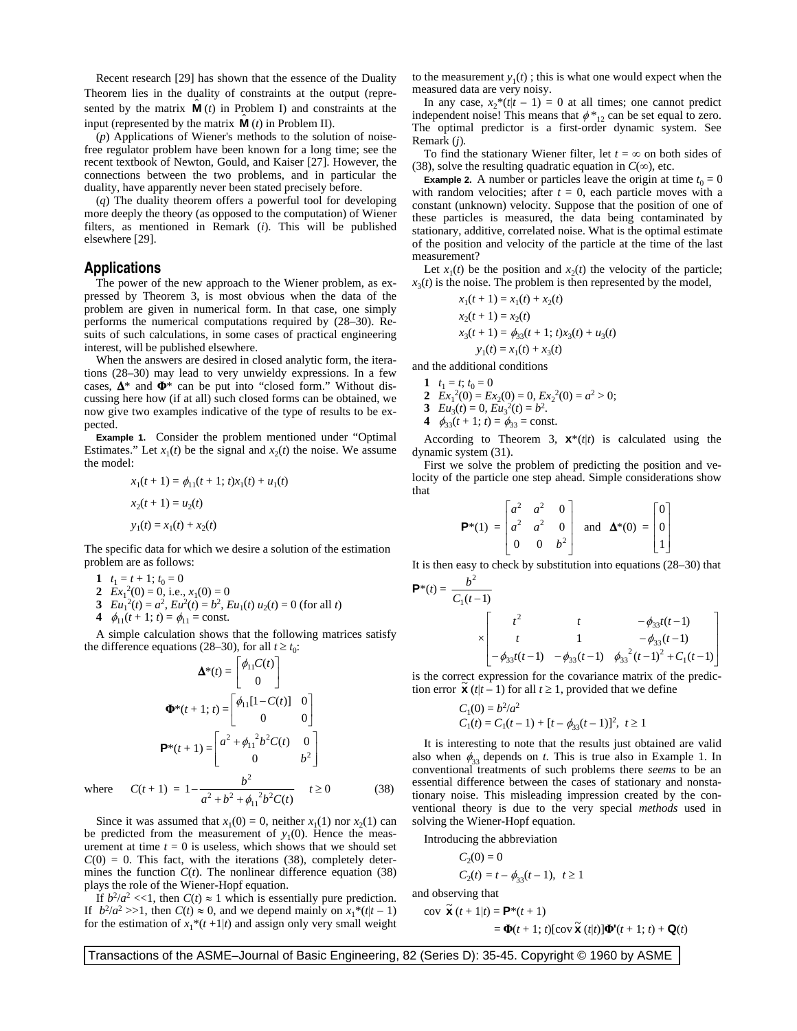Recent research [29] has shown that the essence of the Duality Theorem lies in the duality of constraints at the output (represented by the matrix  $M(t)$  in Problem I) and constraints at the input (represented by the matrix  $\mathbf{M}$  (*t*) in Problem II).

(*p*) Applications of Wiener's methods to the solution of noisefree regulator problem have been known for a long time; see the recent textbook of Newton, Gould, and Kaiser [27]. However, the connections between the two problems, and in particular the duality, have apparently never been stated precisely before.

(*q*) The duality theorem offers a powerful tool for developing more deeply the theory (as opposed to the computation) of Wiener filters, as mentioned in Remark (*i*). This will be published elsewhere [29].

## **Applications**

The power of the new approach to the Wiener problem, as expressed by Theorem 3, is most obvious when the data of the problem are given in numerical form. In that case, one simply performs the numerical computations required by (28–30). Resuits of such calculations, in some cases of practical engineering interest, will be published elsewhere.

When the answers are desired in closed analytic form, the iterations (28–30) may lead to very unwieldy expressions. In a few cases, **∆**\* and **Φ**\* can be put into "closed form." Without discussing here how (if at all) such closed forms can be obtained, we now give two examples indicative of the type of results to be expected.

**Example 1.** Consider the problem mentioned under "Optimal Estimates." Let  $x_1(t)$  be the signal and  $x_2(t)$  the noise. We assume the model:

$$
x_1(t + 1) = \phi_{11}(t + 1; t)x_1(t) + u_1(t)
$$
  

$$
x_2(t + 1) = u_2(t)
$$
  

$$
y_1(t) = x_1(t) + x_2(t)
$$

The specific data for which we desire a solution of the estimation problem are as follows:

- **1**  $t_1 = t + 1$ ;  $t_0 = 0$
- **2**  $Ex_1^2(0) = 0$ , i.e.,  $x_1(0) = 0$
- **3**  $Eu_1^2(t) = a^2$ ,  $Eu_1^2(t) = b^2$ ,  $Eu_1(t) u_2(t) = 0$  (for all *t*)
- **4**  $\phi_{11}(t+1; t) = \phi_{11} = \text{const.}$

A simple calculation shows that the following matrices satisfy the difference equations (28–30), for all  $t \ge t_0$ :

$$
\mathbf{\Delta}^{*}(t) = \begin{bmatrix} \phi_{11}C(t) \\ 0 \end{bmatrix}
$$

$$
\mathbf{\Phi}^{*}(t+1; t) = \begin{bmatrix} \phi_{11}[1-C(t)] & 0 \\ 0 & 0 \end{bmatrix}
$$

$$
\mathbf{P}^{*}(t+1) = \begin{bmatrix} a^{2} + \phi_{11}^{2}b^{2}C(t) & 0 \\ 0 & b^{2} \end{bmatrix}
$$
where  $C(t+1) = 1 - \frac{b^{2}}{a^{2} + b^{2} + \phi_{11}^{2}b^{2}C(t)}$   $t \ge 0$  (38)

Since it was assumed that  $x_1(0) = 0$ , neither  $x_1(1)$  nor  $x_2(1)$  can be predicted from the measurement of  $y_1(0)$ . Hence the measurement at time  $t = 0$  is useless, which shows that we should set  $C(0) = 0$ . This fact, with the iterations (38), completely determines the function  $C(t)$ . The nonlinear difference equation (38) plays the role of the Wiener-Hopf equation.

If  $b^2/a^2 \ll 1$ , then  $C(t) \approx 1$  which is essentially pure prediction. If  $b^2/a^2 >> 1$ , then  $C(t) \approx 0$ , and we depend mainly on  $x_1^*(t|t-1)$ for the estimation of  $x_1^*(t+1|t)$  and assign only very small weight to the measurement  $y_1(t)$ ; this is what one would expect when the measured data are very noisy.

In any case,  $x_2^*(t|t-1) = 0$  at all times; one cannot predict independent noise! This means that  $\phi *_{12}$  can be set equal to zero. The optimal predictor is a first-order dynamic system. See Remark (*j*)*.*

To find the stationary Wiener filter, let  $t = \infty$  on both sides of (38), solve the resulting quadratic equation in  $C(\infty)$ , etc.

**Example 2.** A number or particles leave the origin at time  $t_0 = 0$ with random velocities; after  $t = 0$ , each particle moves with a constant (unknown) velocity. Suppose that the position of one of these particles is measured, the data being contaminated by stationary, additive, correlated noise. What is the optimal estimate of the position and velocity of the particle at the time of the last measurement?

Let  $x_1(t)$  be the position and  $x_2(t)$  the velocity of the particle;  $x_3(t)$  is the noise. The problem is then represented by the model,

$$
x_1(t + 1) = x_1(t) + x_2(t)
$$
  
\n
$$
x_2(t + 1) = x_2(t)
$$
  
\n
$$
x_3(t + 1) = \phi_{33}(t + 1; t)x_3(t) + u_3(t)
$$
  
\n
$$
y_1(t) = x_1(t) + x_3(t)
$$

and the additional conditions

- **1**  $t_1 = t$ ;  $t_0 = 0$
- **2**  $Ex_1^2(0) = Ex_2(0) = 0, Ex_2^2(0) = a^2 > 0;$
- **3**  $Eu_3(t) = 0$ ,  $Eu_3^2(t) = b^2$ . **4**  $\phi_{33}(t+1; t) = \phi_{33}$  = const.

According to Theorem 3,  $\mathbf{x}^*(t|t)$  is calculated using the

dynamic system (31). First we solve the problem of predicting the position and velocity of the particle one step ahead. Simple considerations show that

$$
\mathbf{P}^*(1) = \begin{bmatrix} a^2 & a^2 & 0 \\ a^2 & a^2 & 0 \\ 0 & 0 & b^2 \end{bmatrix} \text{ and } \mathbf{\Delta}^*(0) = \begin{bmatrix} 0 \\ 0 \\ 1 \end{bmatrix}
$$

It is then easy to check by substitution into equations (28–30) that

$$
\mathbf{P}^*(t) = \frac{b^2}{C_1(t-1)}
$$
\n
$$
\times \begin{bmatrix}\nt^2 & t & -\phi_{33}t(t-1) \\
t & 1 & -\phi_{33}(t-1) \\
-\phi_{33}t(t-1) & -\phi_{33}(t-1) & \phi_{33}^2(t-1)^2 + C_1(t-1)\n\end{bmatrix}
$$

is the correct expression for the covariance matrix of the prediction error  $\tilde{\mathbf{x}}(t|t-1)$  for all  $t \ge 1$ , provided that we define

$$
C_1(0) = b^2/a^2
$$
  
\n
$$
C_1(t) = C_1(t-1) + [t - \phi_{33}(t-1)]^2, \ t \ge 1
$$

It is interesting to note that the results just obtained are valid also when  $\phi_{33}$  depends on *t*. This is true also in Example 1. In conventional treatments of such problems there *seems* to be an essential difference between the cases of stationary and nonstationary noise. This misleading impression created by the conventional theory is due to the very special *methods* used in solving the Wiener-Hopf equation.

Introducing the abbreviation

$$
C_2(0) = 0
$$
  
\n
$$
C_2(t) = t - \phi_{33}(t - 1), \quad t \ge 1
$$

and observing that

$$
\begin{aligned} \text{cov } \widetilde{\mathbf{x}} \left( t + 1 \middle| t \right) &= \mathbf{P}^*(t + 1) \\ &= \mathbf{\Phi}(t + 1; t) [\text{cov } \widetilde{\mathbf{x}} \left( t \middle| t \right) ] \mathbf{\Phi}^t(t + 1; t) + \mathbf{Q}(t) \end{aligned}
$$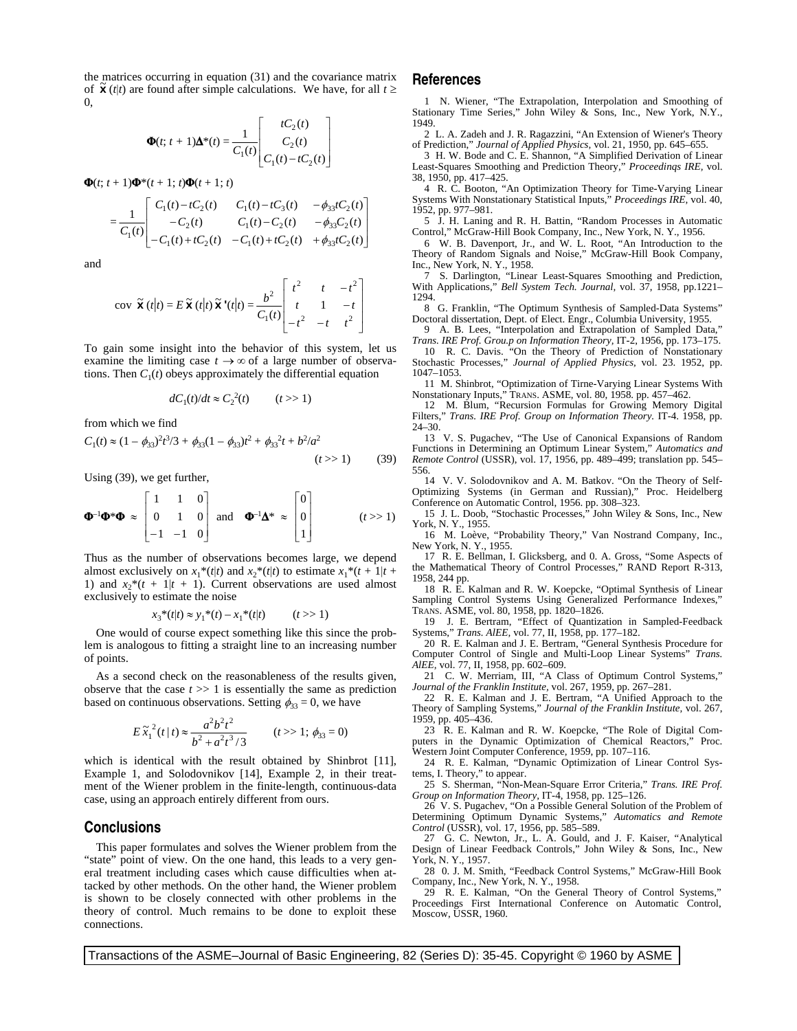the matrices occurring in equation (31) and the covariance matrix of  $\tilde{\mathbf{x}}(t|t)$  are found after simple calculations. We have, for all  $t \geq$ 0,

$$
\Phi(t; t+1)\Delta^*(t) = \frac{1}{C_1(t)} \begin{bmatrix} tC_2(t) \\ C_2(t) \\ C_1(t) - tC_2(t) \end{bmatrix}
$$

 $\Phi(t; t+1)\Phi^*(t+1; t)\Phi(t+1; t)$ 

$$
= \frac{1}{C_1(t)} \begin{bmatrix} C_1(t) - tC_2(t) & C_1(t) - tC_3(t) & -\phi_{33}tC_2(t) \\ -C_2(t) & C_1(t) - C_2(t) & -\phi_{33}C_2(t) \\ -C_1(t) + tC_2(t) & -C_1(t) + tC_2(t) & +\phi_{33}tC_2(t) \end{bmatrix}
$$

and

$$
\text{cov }\widetilde{\mathbf{x}}(t|t) = E \widetilde{\mathbf{x}}(t|t) \widetilde{\mathbf{x}}'(t|t) = \frac{b^2}{C_1(t)} \begin{bmatrix} t^2 & t & -t^2 \\ t & 1 & -t \\ -t^2 & -t & t^2 \end{bmatrix}
$$

To gain some insight into the behavior of this system, let us examine the limiting case  $t \to \infty$  of a large number of observations. Then  $C_1(t)$  obeys approximately the differential equation

$$
dC_1(t)/dt \approx C_2^2(t) \qquad (t >> 1)
$$

from which we find

$$
C_1(t) \approx (1 - \phi_{33})^2 t^3 / 3 + \phi_{33} (1 - \phi_{33}) t^2 + \phi_{33}^2 t + b^2 / a^2
$$
\n
$$
(t >> 1)
$$
\n(39)

Using (39), we get further,

$$
\mathbf{\Phi}^{-1}\mathbf{\Phi}^*\mathbf{\Phi} \approx \begin{bmatrix} 1 & 1 & 0 \\ 0 & 1 & 0 \\ -1 & -1 & 0 \end{bmatrix} \text{ and } \mathbf{\Phi}^{-1}\mathbf{\Delta}^* \approx \begin{bmatrix} 0 \\ 0 \\ 1 \end{bmatrix} \qquad (t>>1)
$$

Thus as the number of observations becomes large, we depend almost exclusively on  $x_1^*(t|t)$  and  $x_2^*(t|t)$  to estimate  $x_1^*(t+1|t+1)$ 1) and  $x_2^*(t + 1|t + 1)$ . Current observations are used almost exclusively to estimate the noise

$$
x_3^*(t|t) \approx y_1^*(t) - x_1^*(t|t) \qquad (t >> 1)
$$

One would of course expect something like this since the problem is analogous to fitting a straight line to an increasing number of points.

As a second check on the reasonableness of the results given, observe that the case  $t \gg 1$  is essentially the same as prediction based on continuous observations. Setting  $\phi_{33} = 0$ , we have

$$
E \tilde{x}_1^2(t \mid t) \approx \frac{a^2 b^2 t^2}{b^2 + a^2 t^3 / 3} \qquad (t >> 1; \phi_{33} = 0)
$$

which is identical with the result obtained by Shinbrot [11], Example 1, and Solodovnikov [14], Example 2, in their treatment of the Wiener problem in the finite-length, continuous-data case, using an approach entirely different from ours.

## **Conclusions**

This paper formulates and solves the Wiener problem from the "state" point of view. On the one hand, this leads to a very general treatment including cases which cause difficulties when attacked by other methods. On the other hand, the Wiener problem is shown to be closely connected with other problems in the theory of control. Much remains to be done to exploit these connections.

## **References**

1 N. Wiener, "The Extrapolation, Interpolation and Smoothing of Stationary Time Series," John Wiley & Sons, Inc., New York, N.Y., 1949.

2 L. A. Zadeh and J. R. Ragazzini, "An Extension of Wiener's Theory of Prediction," *Journal of Applied Physics,* vol. 21, 1950, pp. 645–655.

3 H. W. Bode and C. E. Shannon, "A Simplified Derivation of Linear Least-Squares Smoothing and Prediction Theory," *Proceedinqs IRE,* vol. 38, 1950, pp. 417–425.

4 R. C. Booton, "An Optimization Theory for Time-Varying Linear Systems With Nonstationary Statistical Inputs," *Proceedings IRE,* vol. 40, 1952, pp. 977–981.

5 J. H. Laning and R. H. Battin, "Random Processes in Automatic Control," McGraw-Hill Book Company, Inc., New York, N. Y., 1956.

6 W. B. Davenport, Jr., and W. L. Root, "An Introduction to the Theory of Random Signals and Noise," McGraw-Hill Book Company, Inc., New York, N. Y., 1958.

S. Darlington, "Linear Least-Squares Smoothing and Prediction, With Applications," *Bell System Tech. Journal,* vol. 37, 1958, pp.1221– 1294.

8 G. Franklin, "The Optimum Synthesis of Sampled-Data Systems" Doctoral dissertation, Dept. of Elect. Engr., Columbia University, 1955.

9 A. B. Lees, "Interpolation and Extrapolation of Sampled Data," *Trans. IRE Prof. Grou.p on Information Theory,* IT-2, 1956, pp. 173–175.

10 R. C. Davis. "On the Theory of Prediction of Nonstationary Stochastic Processes," *Journal of Applied Physics,* vol. 23. 1952, pp. 1047–1053.

11 M. Shinbrot, "Optimization of Tirne-Varying Linear Systems With Nonstationary Inputs," TRANS. ASME, vol. 80, 1958. pp. 457–462.

12 M. Blum, "Recursion Formulas for Growing Memory Digital Filters," *Trans. IRE Prof. Group on Information Theory.* IT-4. 1958, pp. 24–30.

13 V. S. Pugachev, "The Use of Canonical Expansions of Random Functions in Determining an Optimum Linear System," *Automatics and Remote Control* (USSR), vol. 17, 1956, pp. 489–499; translation pp. 545– 556.

14 V. V. Solodovnikov and A. M. Batkov. "On the Theory of Self-Optimizing Systems (in German and Russian)," Proc. Heidelberg Conference on Automatic Control, 1956. pp. 308–323.

15 J. L. Doob, "Stochastic Processes," John Wiley & Sons, Inc., New York, N. Y., 1955.

16 M. Loève, "Probability Theory," Van Nostrand Company, Inc., New York, N. Y., 1955.

17 R. E. Bellman, I. Glicksberg, and 0. A. Gross, "Some Aspects of the Mathematical Theory of Control Processes," RAND Report R-313, 1958, 244 pp.

18 R. E. Kalman and R. W. Koepcke, "Optimal Synthesis of Linear Sampling Control Systems Using Generalized Performance Indexes," TRANS. ASME, vol. 80, 1958, pp. 1820–1826.

19 J. E. Bertram, "Effect of Quantization in Sampled-Feedback Systems," *Trans. AlEE,* vol. 77, II, 1958, pp. 177–182.

20 R. E. Kalman and J. E. Bertram, "General Synthesis Procedure for Computer Control of Single and Multi-Loop Linear Systems" *Trans. AlEE,* vol. 77, II, 1958, pp. 602–609.

21 C. W. Merriam, III, "A Class of Optimum Control Systems," *Journal of the Franklin Institute,* vol. 267, 1959, pp. 267–281.

22 R. E. Kalman and J. E. Bertram, "A Unified Approach to the Theory of Sampling Systems," *Journal of the Franklin Institute,* vol. 267, 1959, pp. 405–436.

23 R. E. Kalman and R. W. Koepcke, "The Role of Digital Computers in the Dynamic Optimization of Chemical Reactors," Proc. Western Joint Computer Conference, 1959, pp. 107–116.

24 R. E. Kalman, "Dynamic Optimization of Linear Control Systems, I. Theory," to appear.

25 S. Sherman, "Non-Mean-Square Error Criteria," *Trans. IRE Prof. Group on Information Theory,* IT-4, 1958, pp. 125–126.

26 V. S. Pugachev, "On a Possible General Solution of the Problem of termining Optimum Dynamic Systems," Automatics and Remote Determining Optimum Dynamic Systems," *Control* (USSR), vol. 17, 1956, pp. 585–589.

27 G. C. Newton, Jr., L. A. Gould, and J. F. Kaiser, "Analytical Design of Linear Feedback Controls," John Wiley & Sons, Inc., New York, N. Y., 1957.

28 0. J. M. Smith, "Feedback Control Systems," McGraw-Hill Book Company, Inc., New York, N. Y., 1958.

29 R. E. Kalman, "On the General Theory of Control Systems," Proceedings First International Conference on Automatic Control, Moscow, USSR, 1960.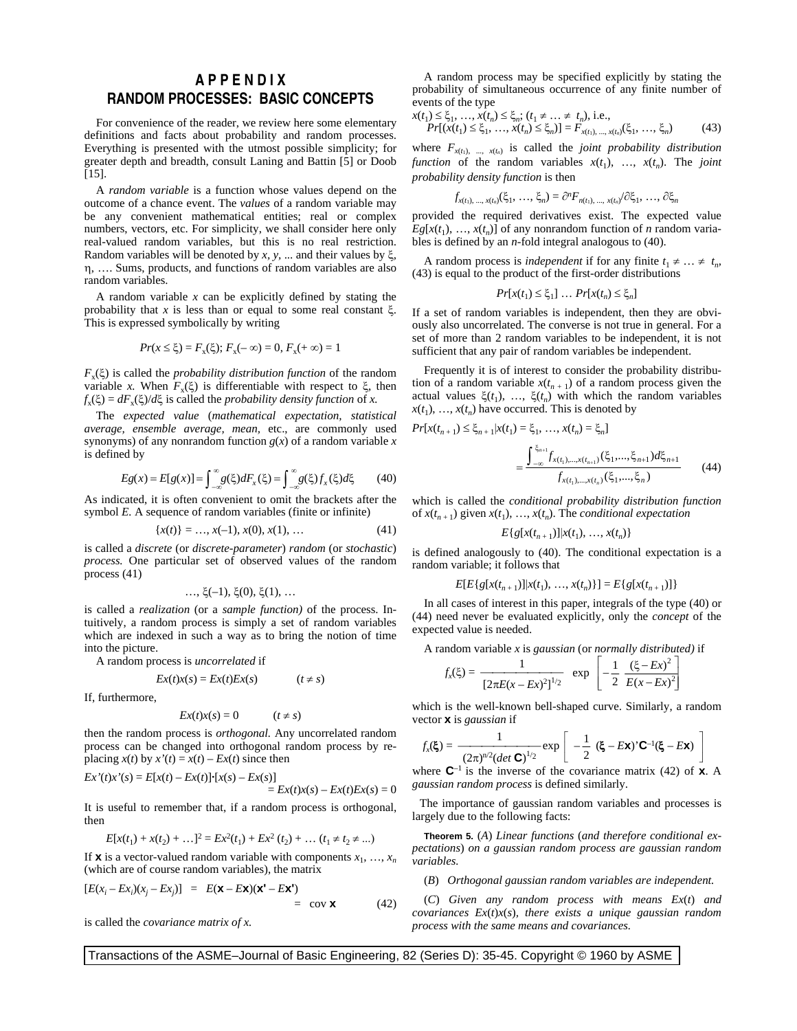## **A P P E N D I X RANDOM PROCESSES: BASIC CONCEPTS**

For convenience of the reader, we review here some elementary definitions and facts about probability and random processes. Everything is presented with the utmost possible simplicity; for greater depth and breadth, consult Laning and Battin [5] or Doob [15].

A *random variable* is a function whose values depend on the outcome of a chance event. The *values* of a random variable may be any convenient mathematical entities; real or complex numbers, vectors, etc. For simplicity, we shall consider here only real-valued random variables, but this is no real restriction. Random variables will be denoted by *x, y,* ... and their values by ξ, η, …. Sums, products, and functions of random variables are also random variables.

A random variable *x* can be explicitly defined by stating the probability that *x* is less than or equal to some real constant ξ. This is expressed symbolically by writing

$$
Pr(x \le \xi) = F_x(\xi); F_x(-\infty) = 0, F_x(+\infty) = 1
$$

*F*x(ξ) is called the *probability distribution function* of the random variable *x*. When  $F<sub>x</sub>(ξ)$  is differentiable with respect to ξ, then  $f_x(\xi) = dF_x(\xi)/d\xi$  is called the *probability density function* of *x*.

The *expected value* (*mathematical expectation, statistical average, ensemble average, mean,* etc., are commonly used synonyms) of any nonrandom function  $g(x)$  of a random variable  $x$ is defined by

$$
Eg(x) = E[g(x)] = \int_{-\infty}^{\infty} g(\xi) dF_x(\xi) = \int_{-\infty}^{\infty} g(\xi) f_x(\xi) d\xi
$$
 (40)

As indicated, it is often convenient to omit the brackets after the symbol *E.* A sequence of random variables (finite or infinite)

$$
\{x(t)\} = \dots, x(-1), x(0), x(1), \dots \tag{41}
$$

is called a *discrete* (or *discrete-parameter*) *random* (or *stochastic*) *process.* One particular set of observed values of the random process (41)

$$
\ldots, \xi(-1), \xi(0), \xi(1), \ldots
$$

is called a *realization* (or a *sample function)* of the process. Intuitively, a random process is simply a set of random variables which are indexed in such a way as to bring the notion of time into the picture.

A random process is *uncorrelated* if

$$
Ex(t)x(s) = Ex(t)Ex(s) \qquad (t \neq s)
$$

If, furthermore,

$$
Ex(t)x(s) = 0 \qquad (t \neq s)
$$

then the random process is *orthogonal.* Any uncorrelated random process can be changed into orthogonal random process by replacing  $x(t)$  by  $x'(t) = x(t) - Ex(t)$  since then

$$
Ex'(t)x'(s) = E[x(t) - Ex(t)] \cdot [x(s) - Ex(s)]
$$
  
= 
$$
Ex(t)x(s) - Ex(t)Ex(s) = 0
$$

It is useful to remember that, if a random process is orthogonal, then

$$
E[x(t1) + x(t2) + ...]2 = Ex2(t1) + Ex2(t2) + ... (t1 \neq t2 \neq ...)
$$

If **x** is a vector-valued random variable with components  $x_1, \ldots, x_n$ (which are of course random variables), the matrix

$$
[E(x_i - Ex_i)(x_j - Ex_j)] = E(\mathbf{X} - E\mathbf{X})(\mathbf{X}^{\mathsf{T}} - E\mathbf{X}^{\mathsf{T}})
$$
  
= cov  $\mathbf{X}$  (42)

is called the *covariance matrix of x.* 

A random process may be specified explicitly by stating the probability of simultaneous occurrence of any finite number of events of the type

$$
x(t_1) \le \xi_1, ..., x(t_n) \le \xi_n; (t_1 \neq ... \neq t_n), \text{ i.e.,}
$$
  
\n
$$
Pr[(x(t_1) \le \xi_1, ..., x(t_n) \le \xi_n)] = F_{x(t_1), ..., x(t_n)}(\xi_1, ..., \xi_n)
$$
 (43)

where  $F_{x(t_1), \ldots, x(t_n)}$  is called the *joint probability distribution function* of the random variables  $x(t_1)$ , …,  $x(t_n)$ . The *joint probability density function* is then

$$
f_{x(t_1),...,x(t_n)}(\xi_1, ..., \xi_n) = \partial^n F_{n(t_1),...,x(t_n)} / \partial \xi_1, ..., \partial \xi_n
$$

provided the required derivatives exist. The expected value  $E_g[x(t_1), ..., x(t_n)]$  of any nonrandom function of *n* random variables is defined by an *n*-fold integral analogous to (40).

A random process is *independent* if for any finite  $t_1 \neq ... \neq t_m$ (43) is equal to the product of the first-order distributions

$$
Pr[x(t_1) \le \xi_1] \dots Pr[x(t_n) \le \xi_n]
$$

If a set of random variables is independent, then they are obviously also uncorrelated. The converse is not true in general. For a set of more than 2 random variables to be independent, it is not sufficient that any pair of random variables be independent.

Frequently it is of interest to consider the probability distribution of a random variable  $x(t_{n+1})$  of a random process given the actual values  $\xi(t_1), \ldots, \xi(t_n)$  with which the random variables  $x(t_1), \ldots, x(t_n)$  have occurred. This is denoted by

$$
Pr[x(t_{n+1}) \le \xi_{n+1}|x(t_1) = \xi_1, ..., x(t_n) = \xi_n]
$$
  
= 
$$
\frac{\int_{-\infty}^{\xi_{n+1}} f_{x(t_1), ..., x(t_{n+1})}(\xi_1, ..., \xi_{n+1}) d\xi_{n+1}}{f_{x(t_1), ..., x(t_n)}(\xi_1, ..., \xi_n)}
$$
(44)

which is called the *conditional probability distribution function*  of  $x(t_{n+1})$  given  $x(t_1), \ldots, x(t_n)$ . The *conditional expectation* 

$$
E\{g[x(t_{n+1})]|x(t_1),...,x(t_n)\}\
$$

is defined analogously to (40). The conditional expectation is a random variable; it follows that

$$
E[E\{g[x(t_{n+1})]|x(t_1),...,x(t_n)\}]=E\{g[x(t_{n+1})]\}
$$

In all cases of interest in this paper, integrals of the type (40) or (44) need never be evaluated explicitly, only the *concept* of the expected value is needed.

A random variable *x* is *gaussian* (or *normally distributed)* if

$$
f_x(\xi) = \frac{1}{[2\pi E(x - Ex)^2]^{1/2}} \exp \left[-\frac{1}{2} \frac{(\xi - Ex)^2}{E(x - Ex)^2}\right]
$$

which is the well-known bell-shaped curve. Similarly, a random vector **x** is *gaussian* if

$$
f_x(\boldsymbol{\xi}) = \frac{1}{(2\pi)^{n/2} (det \mathbf{C})^{1/2}} \exp \left[ -\frac{1}{2} (\boldsymbol{\xi} - E\mathbf{x})^{\dagger} \mathbf{C}^{-1} (\boldsymbol{\xi} - E\mathbf{x}) \right]
$$

where  $C^{-1}$  is the inverse of the covariance matrix (42) of **x**. A *gaussian random process* is defined similarly.

The importance of gaussian random variables and processes is largely due to the following facts:

**Theorem 5.** (*A*) *Linear functions* (*and therefore conditional expectations*) *on a gaussian random process are gaussian random variables.* 

(*B*) *Orthogonal gaussian random variables are independent.* 

(*C*) *Given any random process with means Ex*(*t*) *and covariances Ex*(*t*)*x*(*s*)*, there exists a unique gaussian random process with the same means and covariances.*